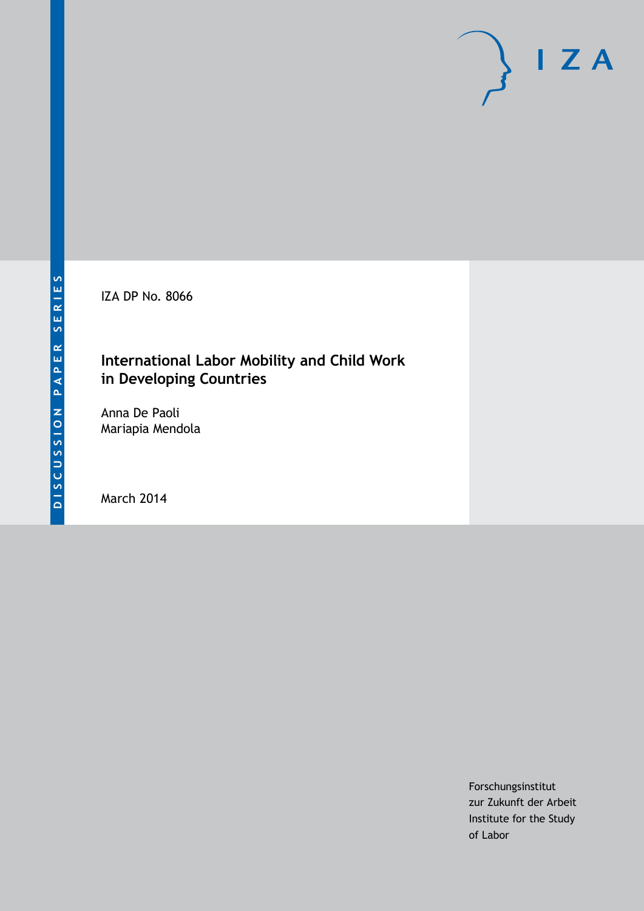IZA DP No. 8066

# **International Labor Mobility and Child Work in Developing Countries**

Anna De Paoli Mariapia Mendola

March 2014

Forschungsinstitut zur Zukunft der Arbeit Institute for the Study of Labor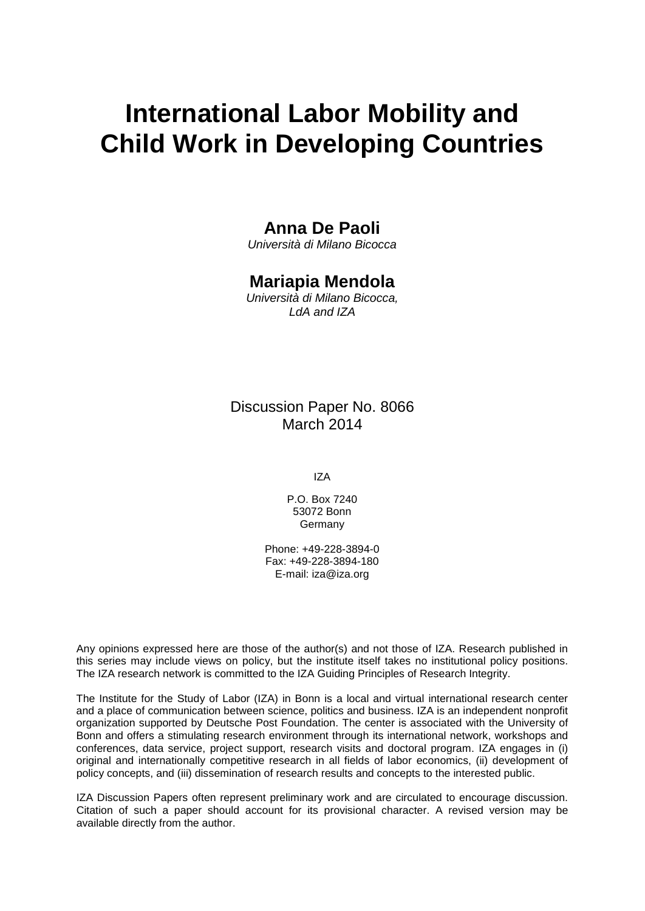# **International Labor Mobility and Child Work in Developing Countries**

# **Anna De Paoli**

*Università di Milano Bicocca*

# **Mariapia Mendola**

*Università di Milano Bicocca, LdA and IZA*

Discussion Paper No. 8066 March 2014

IZA

P.O. Box 7240 53072 Bonn Germany

Phone: +49-228-3894-0 Fax: +49-228-3894-180 E-mail: [iza@iza.org](mailto:iza@iza.org)

Any opinions expressed here are those of the author(s) and not those of IZA. Research published in this series may include views on policy, but the institute itself takes no institutional policy positions. The IZA research network is committed to the IZA Guiding Principles of Research Integrity.

The Institute for the Study of Labor (IZA) in Bonn is a local and virtual international research center and a place of communication between science, politics and business. IZA is an independent nonprofit organization supported by Deutsche Post Foundation. The center is associated with the University of Bonn and offers a stimulating research environment through its international network, workshops and conferences, data service, project support, research visits and doctoral program. IZA engages in (i) original and internationally competitive research in all fields of labor economics, (ii) development of policy concepts, and (iii) dissemination of research results and concepts to the interested public.

<span id="page-1-0"></span>IZA Discussion Papers often represent preliminary work and are circulated to encourage discussion. Citation of such a paper should account for its provisional character. A revised version may be available directly from the author.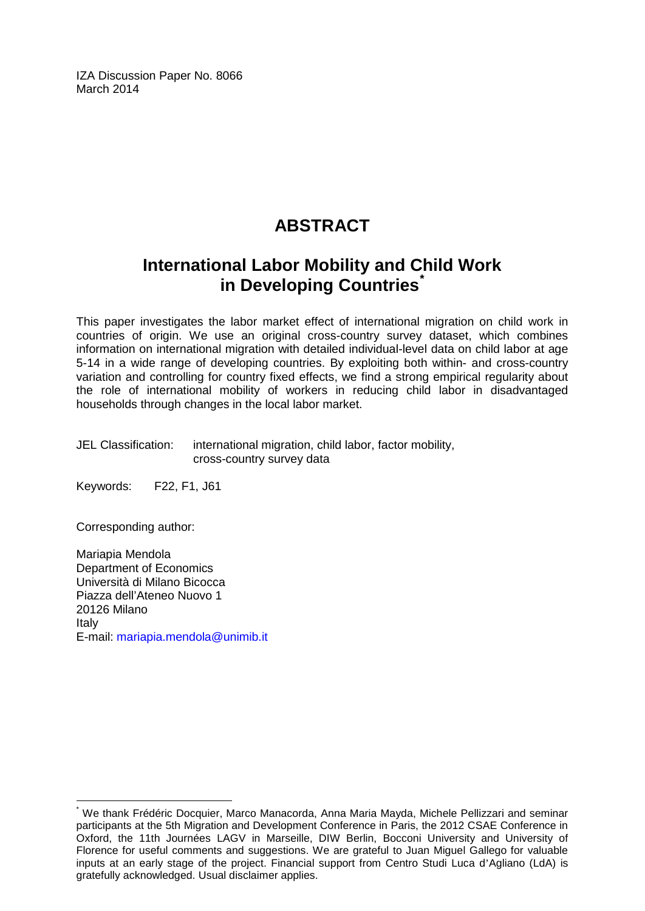IZA Discussion Paper No. 8066 March 2014

# **ABSTRACT**

# **International Labor Mobility and Child Work in Developing Countries[\\*](#page-1-0)**

This paper investigates the labor market effect of international migration on child work in countries of origin. We use an original cross-country survey dataset, which combines information on international migration with detailed individual-level data on child labor at age 5-14 in a wide range of developing countries. By exploiting both within- and cross-country variation and controlling for country fixed effects, we find a strong empirical regularity about the role of international mobility of workers in reducing child labor in disadvantaged households through changes in the local labor market.

JEL Classification: international migration, child labor, factor mobility, cross-country survey data

Keywords: F22, F1, J61

Corresponding author:

Mariapia Mendola Department of Economics Università di Milano Bicocca Piazza dell'Ateneo Nuovo 1 20126 Milano Italy E-mail: [mariapia.mendola@unimib.it](mailto:mariapia.mendola@unimib.it)

\* We thank Frédéric Docquier, Marco Manacorda, Anna Maria Mayda, Michele Pellizzari and seminar participants at the 5th Migration and Development Conference in Paris, the 2012 CSAE Conference in Oxford, the 11th Journées LAGV in Marseille, DIW Berlin, Bocconi University and University of Florence for useful comments and suggestions. We are grateful to Juan Miguel Gallego for valuable inputs at an early stage of the project. Financial support from Centro Studi Luca d'Agliano (LdA) is gratefully acknowledged. Usual disclaimer applies.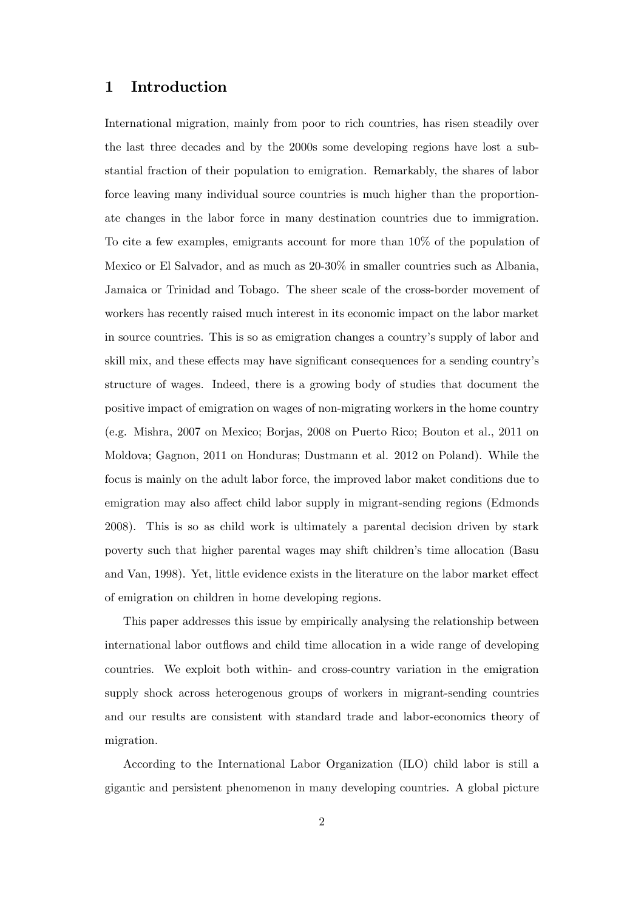### 1 Introduction

International migration, mainly from poor to rich countries, has risen steadily over the last three decades and by the 2000s some developing regions have lost a substantial fraction of their population to emigration. Remarkably, the shares of labor force leaving many individual source countries is much higher than the proportionate changes in the labor force in many destination countries due to immigration. To cite a few examples, emigrants account for more than 10% of the population of Mexico or El Salvador, and as much as 20-30% in smaller countries such as Albania, Jamaica or Trinidad and Tobago. The sheer scale of the cross-border movement of workers has recently raised much interest in its economic impact on the labor market in source countries. This is so as emigration changes a countryís supply of labor and skill mix, and these effects may have significant consequences for a sending country's structure of wages. Indeed, there is a growing body of studies that document the positive impact of emigration on wages of non-migrating workers in the home country (e.g. Mishra, 2007 on Mexico; Borjas, 2008 on Puerto Rico; Bouton et al., 2011 on Moldova; Gagnon, 2011 on Honduras; Dustmann et al. 2012 on Poland). While the focus is mainly on the adult labor force, the improved labor maket conditions due to emigration may also affect child labor supply in migrant-sending regions (Edmonds 2008). This is so as child work is ultimately a parental decision driven by stark poverty such that higher parental wages may shift childrenís time allocation (Basu and Van, 1998). Yet, little evidence exists in the literature on the labor market effect of emigration on children in home developing regions.

This paper addresses this issue by empirically analysing the relationship between international labor outflows and child time allocation in a wide range of developing countries. We exploit both within- and cross-country variation in the emigration supply shock across heterogenous groups of workers in migrant-sending countries and our results are consistent with standard trade and labor-economics theory of migration.

According to the International Labor Organization (ILO) child labor is still a gigantic and persistent phenomenon in many developing countries. A global picture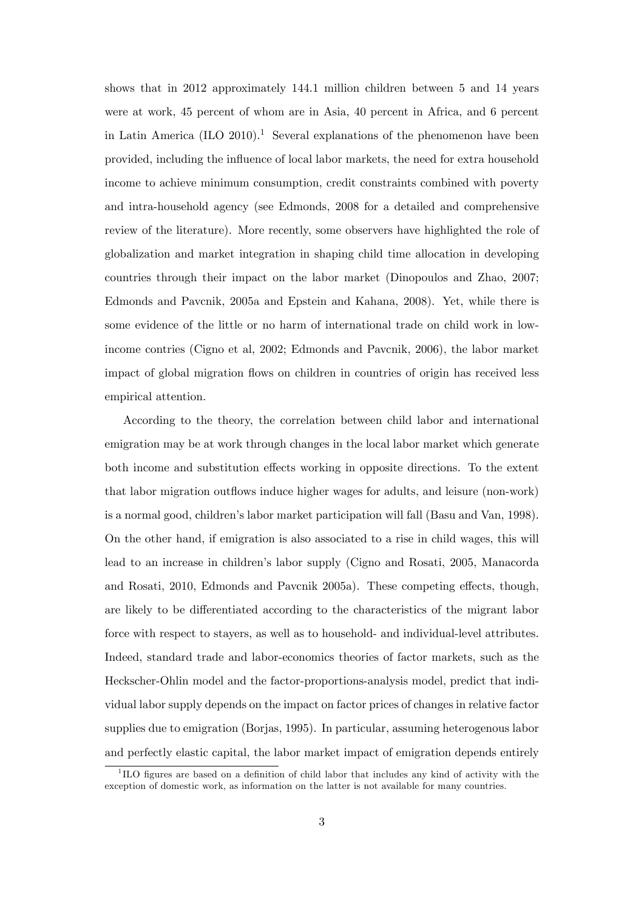shows that in 2012 approximately 144.1 million children between 5 and 14 years were at work, 45 percent of whom are in Asia, 40 percent in Africa, and 6 percent in Latin America (ILO 2010).<sup>1</sup> Several explanations of the phenomenon have been provided, including the ináuence of local labor markets, the need for extra household income to achieve minimum consumption, credit constraints combined with poverty and intra-household agency (see Edmonds, 2008 for a detailed and comprehensive review of the literature). More recently, some observers have highlighted the role of globalization and market integration in shaping child time allocation in developing countries through their impact on the labor market (Dinopoulos and Zhao, 2007; Edmonds and Pavcnik, 2005a and Epstein and Kahana, 2008). Yet, while there is some evidence of the little or no harm of international trade on child work in lowincome contries (Cigno et al, 2002; Edmonds and Pavcnik, 2006), the labor market impact of global migration flows on children in countries of origin has received less empirical attention.

According to the theory, the correlation between child labor and international emigration may be at work through changes in the local labor market which generate both income and substitution effects working in opposite directions. To the extent that labor migration outflows induce higher wages for adults, and leisure (non-work) is a normal good, childrenís labor market participation will fall (Basu and Van, 1998). On the other hand, if emigration is also associated to a rise in child wages, this will lead to an increase in children's labor supply (Cigno and Rosati, 2005, Manacorda and Rosati, 2010, Edmonds and Pavcnik 2005a). These competing effects, though, are likely to be differentiated according to the characteristics of the migrant labor force with respect to stayers, as well as to household- and individual-level attributes. Indeed, standard trade and labor-economics theories of factor markets, such as the Heckscher-Ohlin model and the factor-proportions-analysis model, predict that individual labor supply depends on the impact on factor prices of changes in relative factor supplies due to emigration (Borjas, 1995). In particular, assuming heterogenous labor and perfectly elastic capital, the labor market impact of emigration depends entirely

<sup>&</sup>lt;sup>1</sup>ILO figures are based on a definition of child labor that includes any kind of activity with the exception of domestic work, as information on the latter is not available for many countries.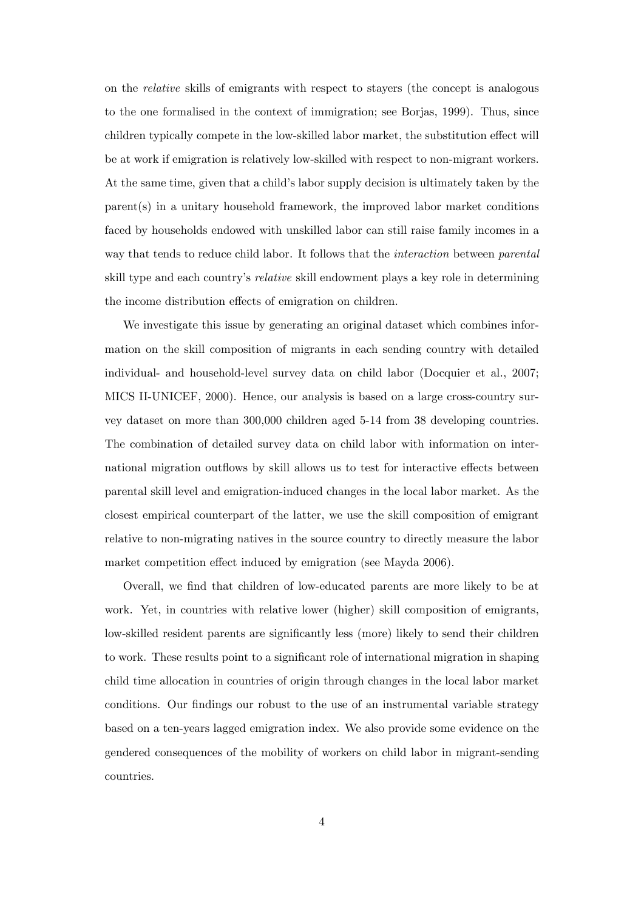on the relative skills of emigrants with respect to stayers (the concept is analogous to the one formalised in the context of immigration; see Borjas, 1999). Thus, since children typically compete in the low-skilled labor market, the substitution effect will be at work if emigration is relatively low-skilled with respect to non-migrant workers. At the same time, given that a child's labor supply decision is ultimately taken by the parent(s) in a unitary household framework, the improved labor market conditions faced by households endowed with unskilled labor can still raise family incomes in a way that tends to reduce child labor. It follows that the *interaction* between *parental* skill type and each country's *relative* skill endowment plays a key role in determining the income distribution effects of emigration on children.

We investigate this issue by generating an original dataset which combines information on the skill composition of migrants in each sending country with detailed individual- and household-level survey data on child labor (Docquier et al., 2007; MICS II-UNICEF, 2000). Hence, our analysis is based on a large cross-country survey dataset on more than 300,000 children aged 5-14 from 38 developing countries. The combination of detailed survey data on child labor with information on international migration outflows by skill allows us to test for interactive effects between parental skill level and emigration-induced changes in the local labor market. As the closest empirical counterpart of the latter, we use the skill composition of emigrant relative to non-migrating natives in the source country to directly measure the labor market competition effect induced by emigration (see Mayda 2006).

Overall, we find that children of low-educated parents are more likely to be at work. Yet, in countries with relative lower (higher) skill composition of emigrants, low-skilled resident parents are significantly less (more) likely to send their children to work. These results point to a significant role of international migration in shaping child time allocation in countries of origin through changes in the local labor market conditions. Our findings our robust to the use of an instrumental variable strategy based on a ten-years lagged emigration index. We also provide some evidence on the gendered consequences of the mobility of workers on child labor in migrant-sending countries.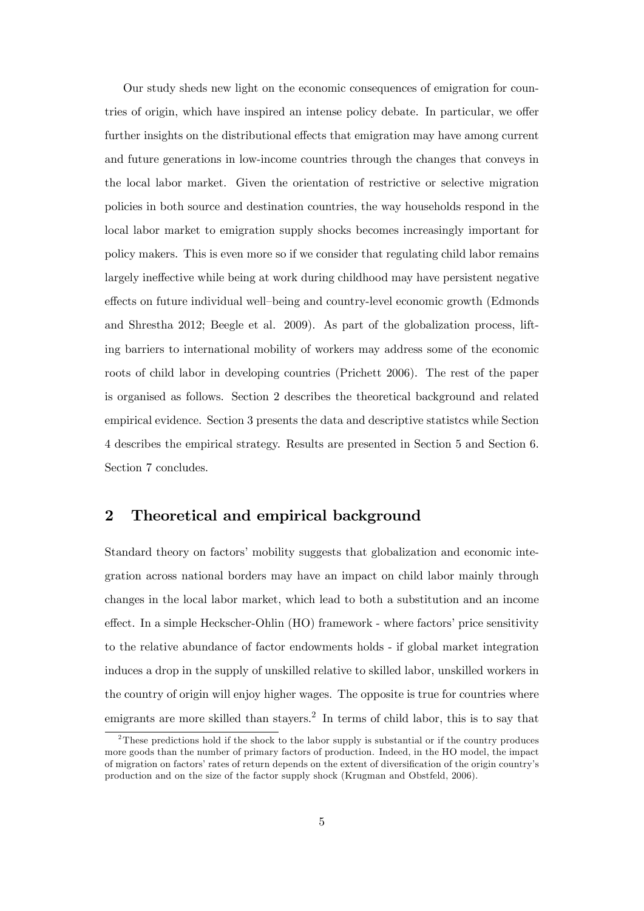Our study sheds new light on the economic consequences of emigration for countries of origin, which have inspired an intense policy debate. In particular, we offer further insights on the distributional effects that emigration may have among current and future generations in low-income countries through the changes that conveys in the local labor market. Given the orientation of restrictive or selective migration policies in both source and destination countries, the way households respond in the local labor market to emigration supply shocks becomes increasingly important for policy makers. This is even more so if we consider that regulating child labor remains largely ineffective while being at work during childhood may have persistent negative effects on future individual well-being and country-level economic growth (Edmonds and Shrestha 2012; Beegle et al. 2009). As part of the globalization process, lifting barriers to international mobility of workers may address some of the economic roots of child labor in developing countries (Prichett 2006). The rest of the paper is organised as follows. Section 2 describes the theoretical background and related empirical evidence. Section 3 presents the data and descriptive statistcs while Section 4 describes the empirical strategy. Results are presented in Section 5 and Section 6. Section 7 concludes.

# 2 Theoretical and empirical background

Standard theory on factors' mobility suggests that globalization and economic integration across national borders may have an impact on child labor mainly through changes in the local labor market, which lead to both a substitution and an income  $\ell$  effect. In a simple Heckscher-Ohlin (HO) framework - where factors' price sensitivity to the relative abundance of factor endowments holds - if global market integration induces a drop in the supply of unskilled relative to skilled labor, unskilled workers in the country of origin will enjoy higher wages. The opposite is true for countries where emigrants are more skilled than stayers.<sup>2</sup> In terms of child labor, this is to say that

 $2$ These predictions hold if the shock to the labor supply is substantial or if the country produces more goods than the number of primary factors of production. Indeed, in the HO model, the impact of migration on factors' rates of return depends on the extent of diversification of the origin country's production and on the size of the factor supply shock (Krugman and Obstfeld, 2006).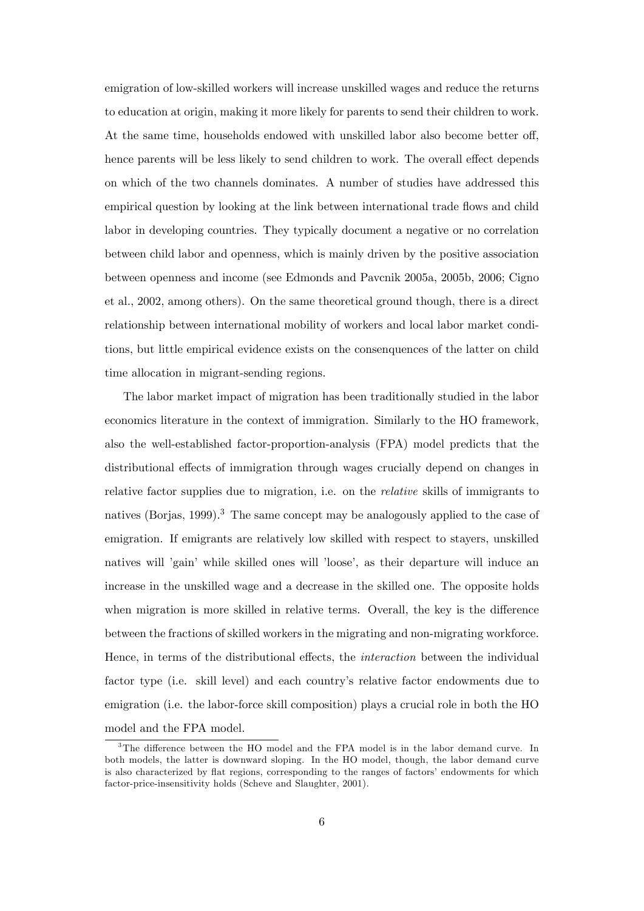emigration of low-skilled workers will increase unskilled wages and reduce the returns to education at origin, making it more likely for parents to send their children to work. At the same time, households endowed with unskilled labor also become better off, hence parents will be less likely to send children to work. The overall effect depends on which of the two channels dominates. A number of studies have addressed this empirical question by looking at the link between international trade flows and child labor in developing countries. They typically document a negative or no correlation between child labor and openness, which is mainly driven by the positive association between openness and income (see Edmonds and Pavcnik 2005a, 2005b, 2006; Cigno et al., 2002, among others). On the same theoretical ground though, there is a direct relationship between international mobility of workers and local labor market conditions, but little empirical evidence exists on the consenquences of the latter on child time allocation in migrant-sending regions.

The labor market impact of migration has been traditionally studied in the labor economics literature in the context of immigration. Similarly to the HO framework, also the well-established factor-proportion-analysis (FPA) model predicts that the distributional effects of immigration through wages crucially depend on changes in relative factor supplies due to migration, i.e. on the relative skills of immigrants to natives (Borjas, 1999).<sup>3</sup> The same concept may be analogously applied to the case of emigration. If emigrants are relatively low skilled with respect to stayers, unskilled natives will 'gain' while skilled ones will 'loose', as their departure will induce an increase in the unskilled wage and a decrease in the skilled one. The opposite holds when migration is more skilled in relative terms. Overall, the key is the difference between the fractions of skilled workers in the migrating and non-migrating workforce. Hence, in terms of the distributional effects, the *interaction* between the individual factor type (i.e. skill level) and each countryís relative factor endowments due to emigration (i.e. the labor-force skill composition) plays a crucial role in both the HO model and the FPA model.

 $3$ The difference between the HO model and the FPA model is in the labor demand curve. In both models, the latter is downward sloping. In the HO model, though, the labor demand curve is also characterized by flat regions, corresponding to the ranges of factors' endowments for which factor-price-insensitivity holds (Scheve and Slaughter, 2001).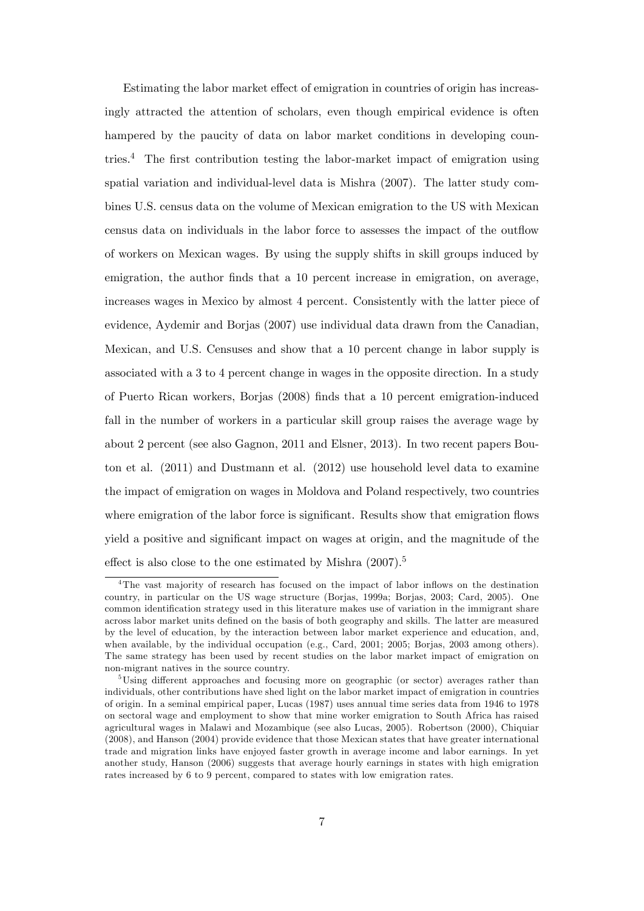Estimating the labor market effect of emigration in countries of origin has increasingly attracted the attention of scholars, even though empirical evidence is often hampered by the paucity of data on labor market conditions in developing countries.<sup>4</sup> The first contribution testing the labor-market impact of emigration using spatial variation and individual-level data is Mishra (2007). The latter study combines U.S. census data on the volume of Mexican emigration to the US with Mexican census data on individuals in the labor force to assesses the impact of the outflow of workers on Mexican wages. By using the supply shifts in skill groups induced by emigration, the author finds that a 10 percent increase in emigration, on average, increases wages in Mexico by almost 4 percent. Consistently with the latter piece of evidence, Aydemir and Borjas (2007) use individual data drawn from the Canadian, Mexican, and U.S. Censuses and show that a 10 percent change in labor supply is associated with a 3 to 4 percent change in wages in the opposite direction. In a study of Puerto Rican workers, Borjas (2008) Önds that a 10 percent emigration-induced fall in the number of workers in a particular skill group raises the average wage by about 2 percent (see also Gagnon, 2011 and Elsner, 2013). In two recent papers Bouton et al. (2011) and Dustmann et al. (2012) use household level data to examine the impact of emigration on wages in Moldova and Poland respectively, two countries where emigration of the labor force is significant. Results show that emigration flows yield a positive and significant impact on wages at origin, and the magnitude of the effect is also close to the one estimated by Mishra  $(2007)^5$ 

<sup>&</sup>lt;sup>4</sup>The vast majority of research has focused on the impact of labor inflows on the destination country, in particular on the US wage structure (Borjas, 1999a; Borjas, 2003; Card, 2005). One common identification strategy used in this literature makes use of variation in the immigrant share across labor market units defined on the basis of both geography and skills. The latter are measured by the level of education, by the interaction between labor market experience and education, and, when available, by the individual occupation (e.g., Card, 2001; 2005; Borjas, 2003 among others). The same strategy has been used by recent studies on the labor market impact of emigration on non-migrant natives in the source country.

 $5\,\mathrm{Using}$  different approaches and focusing more on geographic (or sector) averages rather than individuals, other contributions have shed light on the labor market impact of emigration in countries of origin. In a seminal empirical paper, Lucas (1987) uses annual time series data from 1946 to 1978 on sectoral wage and employment to show that mine worker emigration to South Africa has raised agricultural wages in Malawi and Mozambique (see also Lucas, 2005). Robertson (2000), Chiquiar (2008), and Hanson (2004) provide evidence that those Mexican states that have greater international trade and migration links have enjoyed faster growth in average income and labor earnings. In yet another study, Hanson (2006) suggests that average hourly earnings in states with high emigration rates increased by 6 to 9 percent, compared to states with low emigration rates.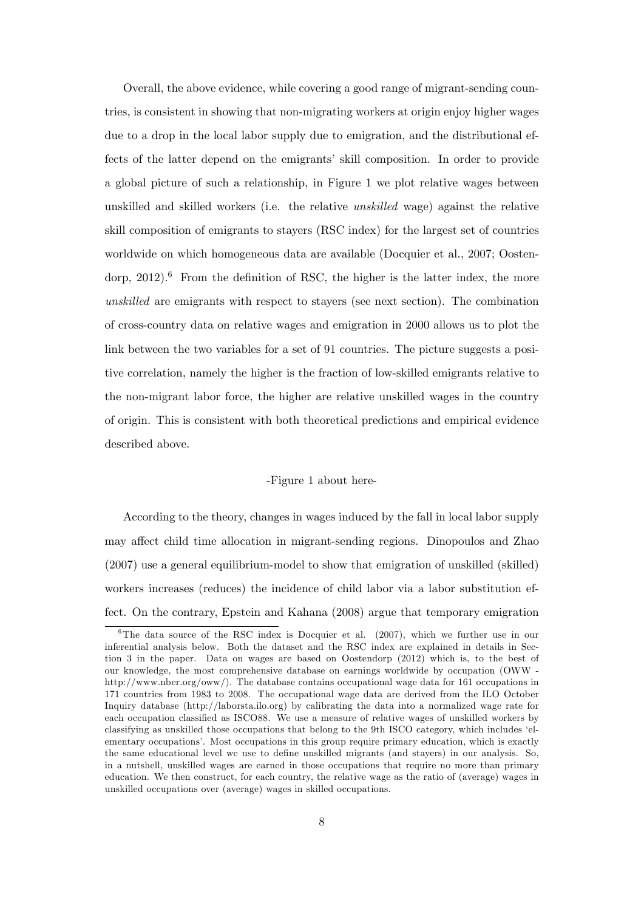Overall, the above evidence, while covering a good range of migrant-sending countries, is consistent in showing that non-migrating workers at origin enjoy higher wages due to a drop in the local labor supply due to emigration, and the distributional effects of the latter depend on the emigrants' skill composition. In order to provide a global picture of such a relationship, in Figure 1 we plot relative wages between unskilled and skilled workers (i.e. the relative unskilled wage) against the relative skill composition of emigrants to stayers (RSC index) for the largest set of countries worldwide on which homogeneous data are available (Docquier et al., 2007; Oostendorp,  $2012$ ).<sup>6</sup> From the definition of RSC, the higher is the latter index, the more unskilled are emigrants with respect to stayers (see next section). The combination of cross-country data on relative wages and emigration in 2000 allows us to plot the link between the two variables for a set of 91 countries. The picture suggests a positive correlation, namely the higher is the fraction of low-skilled emigrants relative to the non-migrant labor force, the higher are relative unskilled wages in the country of origin. This is consistent with both theoretical predictions and empirical evidence described above.

#### -Figure 1 about here-

According to the theory, changes in wages induced by the fall in local labor supply may affect child time allocation in migrant-sending regions. Dinopoulos and Zhao (2007) use a general equilibrium-model to show that emigration of unskilled (skilled) workers increases (reduces) the incidence of child labor via a labor substitution effect. On the contrary, Epstein and Kahana (2008) argue that temporary emigration

<sup>&</sup>lt;sup>6</sup>The data source of the RSC index is Docquier et al. (2007), which we further use in our inferential analysis below. Both the dataset and the RSC index are explained in details in Section 3 in the paper. Data on wages are based on Oostendorp (2012) which is, to the best of our knowledge, the most comprehensive database on earnings worldwide by occupation (OWW http://www.nber.org/oww/). The database contains occupational wage data for 161 occupations in 171 countries from 1983 to 2008. The occupational wage data are derived from the ILO October Inquiry database (http://laborsta.ilo.org) by calibrating the data into a normalized wage rate for each occupation classified as ISCO88. We use a measure of relative wages of unskilled workers by classifying as unskilled those occupations that belong to the 9th ISCO category, which includes ëelementary occupations<sup>'</sup>. Most occupations in this group require primary education, which is exactly the same educational level we use to define unskilled migrants (and stayers) in our analysis. So, in a nutshell, unskilled wages are earned in those occupations that require no more than primary education. We then construct, for each country, the relative wage as the ratio of (average) wages in unskilled occupations over (average) wages in skilled occupations.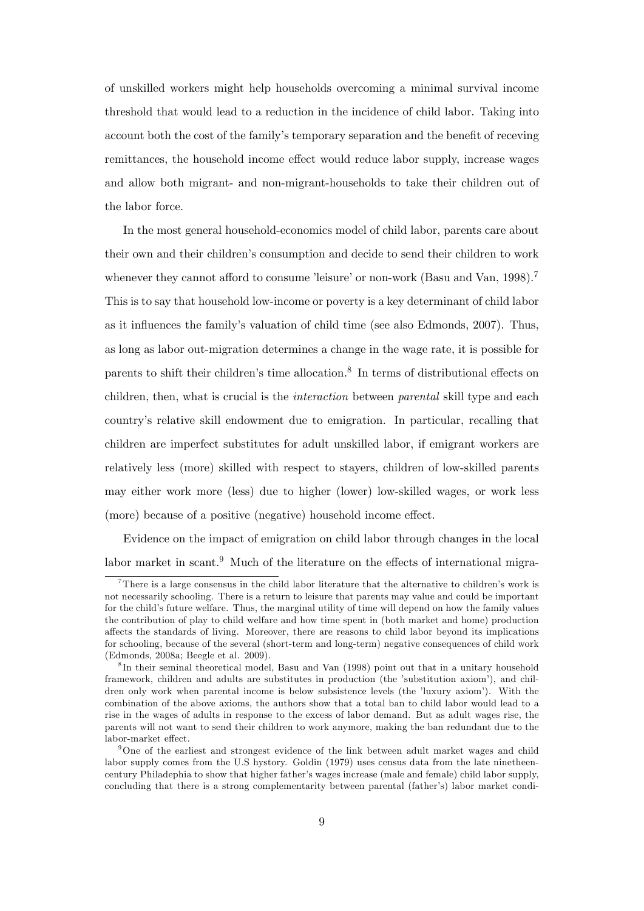of unskilled workers might help households overcoming a minimal survival income threshold that would lead to a reduction in the incidence of child labor. Taking into account both the cost of the family's temporary separation and the benefit of receving remittances, the household income effect would reduce labor supply, increase wages and allow both migrant- and non-migrant-households to take their children out of the labor force.

In the most general household-economics model of child labor, parents care about their own and their children's consumption and decide to send their children to work whenever they cannot afford to consume 'leisure' or non-work (Basu and Van, 1998).<sup>7</sup> This is to say that household low-income or poverty is a key determinant of child labor as it influences the family's valuation of child time (see also Edmonds, 2007). Thus, as long as labor out-migration determines a change in the wage rate, it is possible for parents to shift their children's time allocation.<sup>8</sup> In terms of distributional effects on children, then, what is crucial is the *interaction* between *parental* skill type and each countryís relative skill endowment due to emigration. In particular, recalling that children are imperfect substitutes for adult unskilled labor, if emigrant workers are relatively less (more) skilled with respect to stayers, children of low-skilled parents may either work more (less) due to higher (lower) low-skilled wages, or work less (more) because of a positive (negative) household income effect.

Evidence on the impact of emigration on child labor through changes in the local labor market in scant.<sup>9</sup> Much of the literature on the effects of international migra-

<sup>&</sup>lt;sup>7</sup>There is a large consensus in the child labor literature that the alternative to children's work is not necessarily schooling. There is a return to leisure that parents may value and could be important for the child's future welfare. Thus, the marginal utility of time will depend on how the family values the contribution of play to child welfare and how time spent in (both market and home) production affects the standards of living. Moreover, there are reasons to child labor beyond its implications for schooling, because of the several (short-term and long-term) negative consequences of child work (Edmonds, 2008a; Beegle et al. 2009).

<sup>&</sup>lt;sup>8</sup>In their seminal theoretical model, Basu and Van (1998) point out that in a unitary household framework, children and adults are substitutes in production (the 'substitution axiom'), and children only work when parental income is below subsistence levels (the 'luxury axiom'). With the combination of the above axioms, the authors show that a total ban to child labor would lead to a rise in the wages of adults in response to the excess of labor demand. But as adult wages rise, the parents will not want to send their children to work anymore, making the ban redundant due to the labor-market effect.

<sup>9</sup>One of the earliest and strongest evidence of the link between adult market wages and child labor supply comes from the U.S hystory. Goldin (1979) uses census data from the late ninetheencentury Philadephia to show that higher father's wages increase (male and female) child labor supply, concluding that there is a strong complementarity between parental (father's) labor market condi-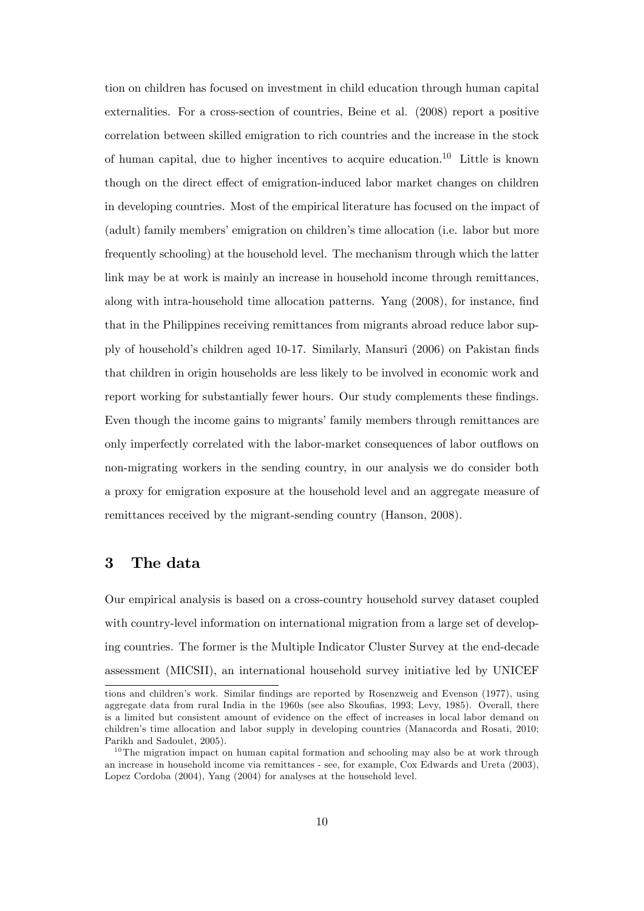tion on children has focused on investment in child education through human capital externalities. For a cross-section of countries, Beine et al. (2008) report a positive correlation between skilled emigration to rich countries and the increase in the stock of human capital, due to higher incentives to acquire education.<sup>10</sup> Little is known though on the direct effect of emigration-induced labor market changes on children in developing countries. Most of the empirical literature has focused on the impact of (adult) family members' emigration on children's time allocation (i.e. labor but more frequently schooling) at the household level. The mechanism through which the latter link may be at work is mainly an increase in household income through remittances, along with intra-household time allocation patterns. Yang (2008), for instance, find that in the Philippines receiving remittances from migrants abroad reduce labor supply of household's children aged 10-17. Similarly, Mansuri (2006) on Pakistan finds that children in origin households are less likely to be involved in economic work and report working for substantially fewer hours. Our study complements these findings. Even though the income gains to migrants' family members through remittances are only imperfectly correlated with the labor-market consequences of labor outflows on non-migrating workers in the sending country, in our analysis we do consider both a proxy for emigration exposure at the household level and an aggregate measure of remittances received by the migrant-sending country (Hanson, 2008).

#### 3 The data

Our empirical analysis is based on a cross-country household survey dataset coupled with country-level information on international migration from a large set of developing countries. The former is the Multiple Indicator Cluster Survey at the end-decade assessment (MICSII), an international household survey initiative led by UNICEF

tions and children's work. Similar findings are reported by Rosenzweig and Evenson (1977), using aggregate data from rural India in the 1960s (see also Skoufias, 1993; Levy, 1985). Overall, there is a limited but consistent amount of evidence on the effect of increases in local labor demand on childrenís time allocation and labor supply in developing countries (Manacorda and Rosati, 2010; Parikh and Sadoulet, 2005).

 $10$ The migration impact on human capital formation and schooling may also be at work through an increase in household income via remittances - see, for example, Cox Edwards and Ureta (2003), Lopez Cordoba (2004), Yang (2004) for analyses at the household level.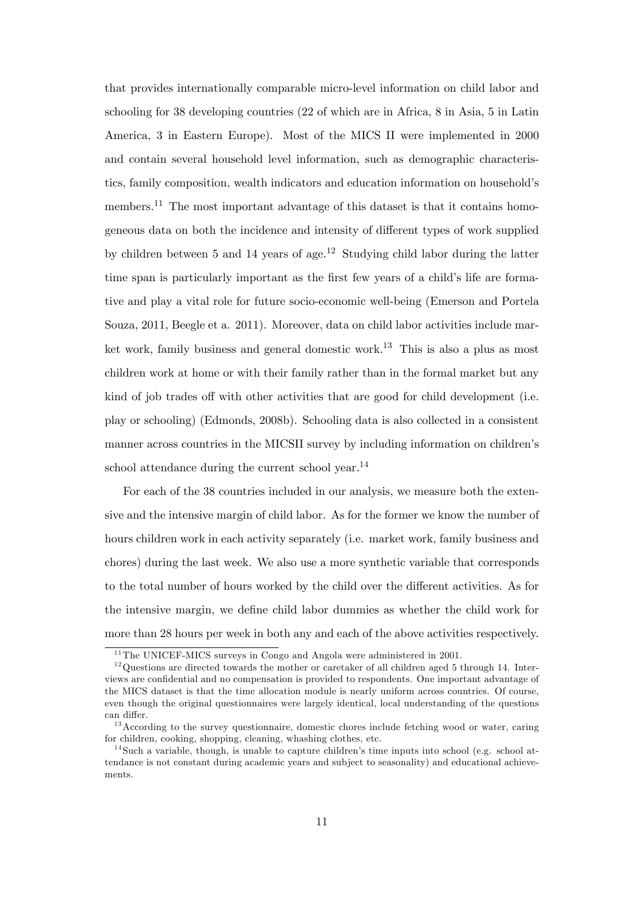that provides internationally comparable micro-level information on child labor and schooling for 38 developing countries (22 of which are in Africa, 8 in Asia, 5 in Latin America, 3 in Eastern Europe). Most of the MICS II were implemented in 2000 and contain several household level information, such as demographic characteristics, family composition, wealth indicators and education information on household's members.<sup>11</sup> The most important advantage of this dataset is that it contains homogeneous data on both the incidence and intensity of different types of work supplied by children between 5 and 14 years of age.<sup>12</sup> Studying child labor during the latter time span is particularly important as the first few years of a child's life are formative and play a vital role for future socio-economic well-being (Emerson and Portela Souza, 2011, Beegle et a. 2011). Moreover, data on child labor activities include market work, family business and general domestic work.<sup>13</sup> This is also a plus as most children work at home or with their family rather than in the formal market but any kind of job trades off with other activities that are good for child development (i.e. play or schooling) (Edmonds, 2008b). Schooling data is also collected in a consistent manner across countries in the MICSII survey by including information on children's school attendance during the current school year. $^{14}$ 

For each of the 38 countries included in our analysis, we measure both the extensive and the intensive margin of child labor. As for the former we know the number of hours children work in each activity separately (i.e. market work, family business and chores) during the last week. We also use a more synthetic variable that corresponds to the total number of hours worked by the child over the different activities. As for the intensive margin, we define child labor dummies as whether the child work for more than 28 hours per week in both any and each of the above activities respectively.

 $11$ <sup>The</sup> UNICEF-MICS surveys in Congo and Angola were administered in 2001.

 $12$ Questions are directed towards the mother or caretaker of all children aged 5 through 14. Interviews are confidential and no compensation is provided to respondents. One important advantage of the MICS dataset is that the time allocation module is nearly uniform across countries. Of course, even though the original questionnaires were largely identical, local understanding of the questions can differ.

<sup>&</sup>lt;sup>13</sup> According to the survey questionnaire, domestic chores include fetching wood or water, caring for children, cooking, shopping, cleaning, whashing clothes, etc.

<sup>&</sup>lt;sup>14</sup>Such a variable, though, is unable to capture children's time inputs into school (e.g. school attendance is not constant during academic years and subject to seasonality) and educational achievements.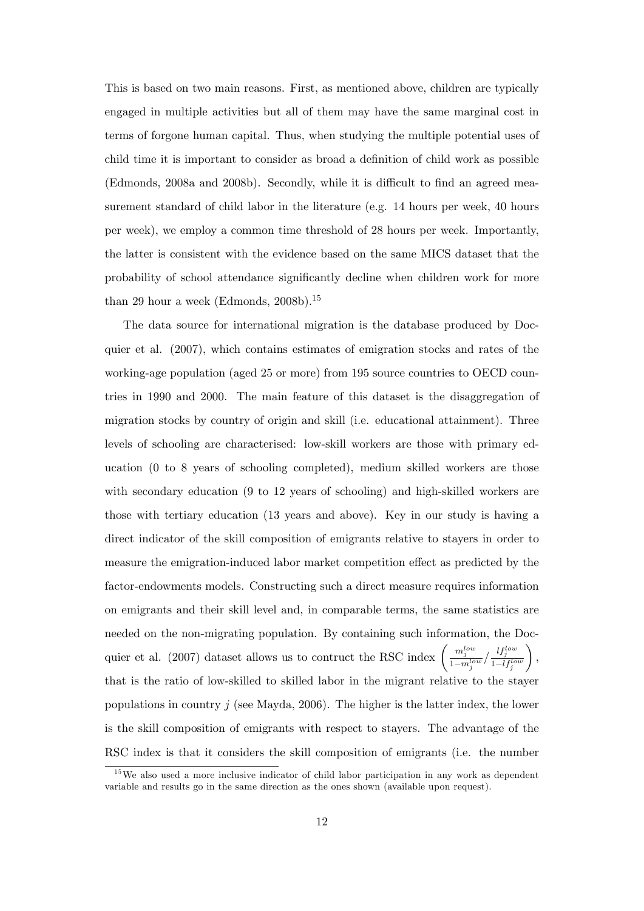This is based on two main reasons. First, as mentioned above, children are typically engaged in multiple activities but all of them may have the same marginal cost in terms of forgone human capital. Thus, when studying the multiple potential uses of child time it is important to consider as broad a definition of child work as possible (Edmonds, 2008a and 2008b). Secondly, while it is difficult to find an agreed measurement standard of child labor in the literature (e.g. 14 hours per week, 40 hours per week), we employ a common time threshold of 28 hours per week. Importantly, the latter is consistent with the evidence based on the same MICS dataset that the probability of school attendance significantly decline when children work for more than 29 hour a week (Edmonds,  $2008b$ ).<sup>15</sup>

The data source for international migration is the database produced by Docquier et al. (2007), which contains estimates of emigration stocks and rates of the working-age population (aged 25 or more) from 195 source countries to OECD countries in 1990 and 2000. The main feature of this dataset is the disaggregation of migration stocks by country of origin and skill (i.e. educational attainment). Three levels of schooling are characterised: low-skill workers are those with primary education (0 to 8 years of schooling completed), medium skilled workers are those with secondary education (9 to 12 years of schooling) and high-skilled workers are those with tertiary education (13 years and above). Key in our study is having a direct indicator of the skill composition of emigrants relative to stayers in order to measure the emigration-induced labor market competition effect as predicted by the factor-endowments models. Constructing such a direct measure requires information on emigrants and their skill level and, in comparable terms, the same statistics are needed on the non-migrating population. By containing such information, the Docquier et al. (2007) dataset allows us to contruct the RSC index  $\left(\frac{m_j^{low}}{1-m_j^{low}}/\frac{lf_j^{low}}{1-lf_j^{low}}\right)$  $\setminus$ ; that is the ratio of low-skilled to skilled labor in the migrant relative to the stayer populations in country j (see Mayda, 2006). The higher is the latter index, the lower is the skill composition of emigrants with respect to stayers. The advantage of the RSC index is that it considers the skill composition of emigrants (i.e. the number

 $15$  We also used a more inclusive indicator of child labor participation in any work as dependent variable and results go in the same direction as the ones shown (available upon request).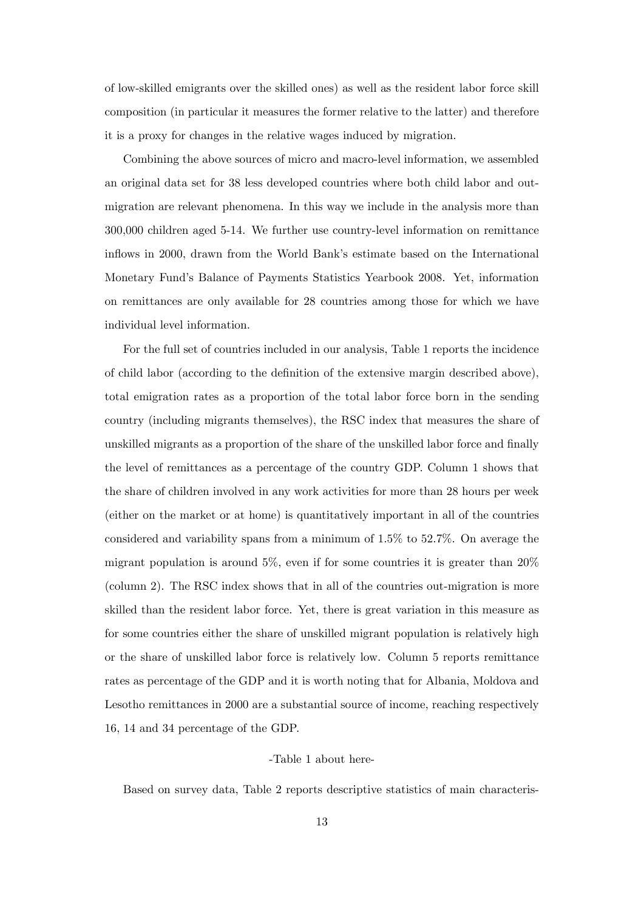of low-skilled emigrants over the skilled ones) as well as the resident labor force skill composition (in particular it measures the former relative to the latter) and therefore it is a proxy for changes in the relative wages induced by migration.

Combining the above sources of micro and macro-level information, we assembled an original data set for 38 less developed countries where both child labor and outmigration are relevant phenomena. In this way we include in the analysis more than 300,000 children aged 5-14. We further use country-level information on remittance inflows in 2000, drawn from the World Bank's estimate based on the International Monetary Fundís Balance of Payments Statistics Yearbook 2008. Yet, information on remittances are only available for 28 countries among those for which we have individual level information.

For the full set of countries included in our analysis, Table 1 reports the incidence of child labor (according to the definition of the extensive margin described above), total emigration rates as a proportion of the total labor force born in the sending country (including migrants themselves), the RSC index that measures the share of unskilled migrants as a proportion of the share of the unskilled labor force and finally the level of remittances as a percentage of the country GDP. Column 1 shows that the share of children involved in any work activities for more than 28 hours per week (either on the market or at home) is quantitatively important in all of the countries considered and variability spans from a minimum of 1.5% to 52.7%. On average the migrant population is around  $5\%$ , even if for some countries it is greater than  $20\%$ (column 2). The RSC index shows that in all of the countries out-migration is more skilled than the resident labor force. Yet, there is great variation in this measure as for some countries either the share of unskilled migrant population is relatively high or the share of unskilled labor force is relatively low. Column 5 reports remittance rates as percentage of the GDP and it is worth noting that for Albania, Moldova and Lesotho remittances in 2000 are a substantial source of income, reaching respectively 16, 14 and 34 percentage of the GDP.

#### -Table 1 about here-

Based on survey data, Table 2 reports descriptive statistics of main characteris-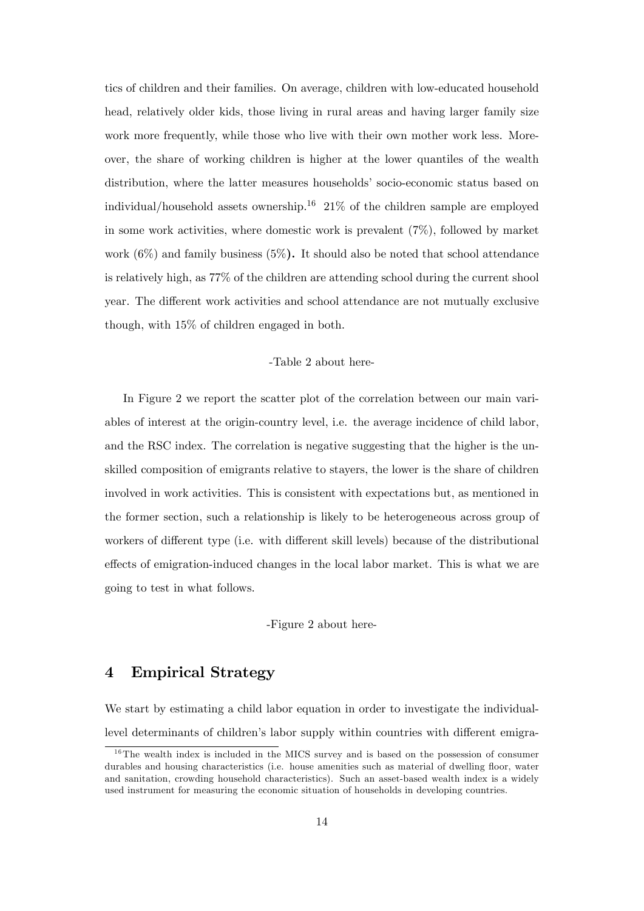tics of children and their families. On average, children with low-educated household head, relatively older kids, those living in rural areas and having larger family size work more frequently, while those who live with their own mother work less. Moreover, the share of working children is higher at the lower quantiles of the wealth distribution, where the latter measures households' socio-economic status based on individual/household assets ownership.<sup>16</sup> 21% of the children sample are employed in some work activities, where domestic work is prevalent  $(7\%)$ , followed by market work  $(6\%)$  and family business  $(5\%)$ . It should also be noted that school attendance is relatively high, as 77% of the children are attending school during the current shool year. The different work activities and school attendance are not mutually exclusive though, with 15% of children engaged in both.

#### -Table 2 about here-

In Figure 2 we report the scatter plot of the correlation between our main variables of interest at the origin-country level, i.e. the average incidence of child labor, and the RSC index. The correlation is negative suggesting that the higher is the unskilled composition of emigrants relative to stayers, the lower is the share of children involved in work activities. This is consistent with expectations but, as mentioned in the former section, such a relationship is likely to be heterogeneous across group of workers of different type (i.e. with different skill levels) because of the distributional effects of emigration-induced changes in the local labor market. This is what we are going to test in what follows.

#### -Figure 2 about here-

# 4 Empirical Strategy

We start by estimating a child labor equation in order to investigate the individuallevel determinants of children's labor supply within countries with different emigra-

 $16$ The wealth index is included in the MICS survey and is based on the possession of consumer durables and housing characteristics (i.e. house amenities such as material of dwelling floor, water and sanitation, crowding household characteristics). Such an asset-based wealth index is a widely used instrument for measuring the economic situation of households in developing countries.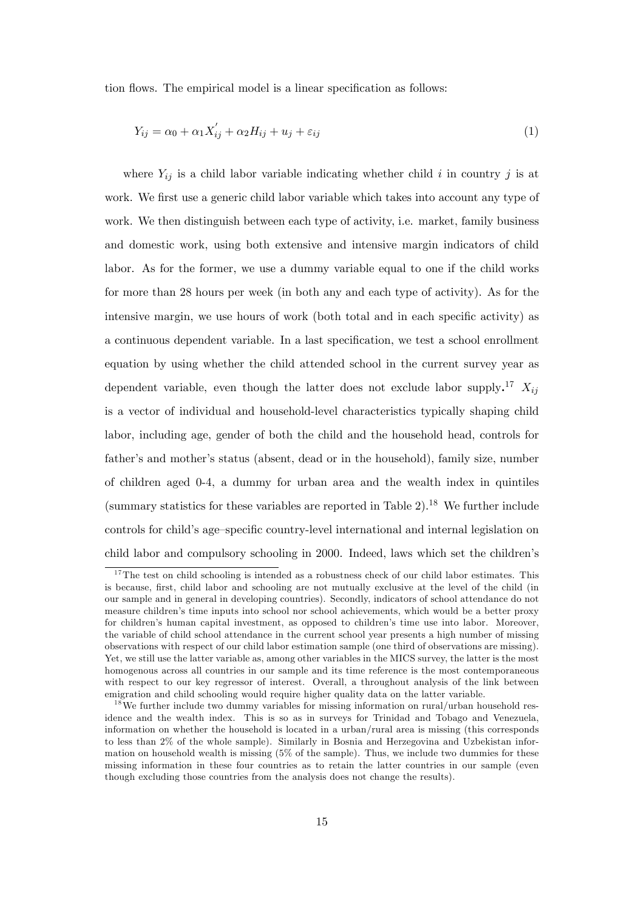tion flows. The empirical model is a linear specification as follows:

$$
Y_{ij} = \alpha_0 + \alpha_1 X'_{ij} + \alpha_2 H_{ij} + u_j + \varepsilon_{ij}
$$
\n<sup>(1)</sup>

where  $Y_{ij}$  is a child labor variable indicating whether child i in country j is at work. We first use a generic child labor variable which takes into account any type of work. We then distinguish between each type of activity, i.e. market, family business and domestic work, using both extensive and intensive margin indicators of child labor. As for the former, we use a dummy variable equal to one if the child works for more than 28 hours per week (in both any and each type of activity). As for the intensive margin, we use hours of work (both total and in each specific activity) as a continuous dependent variable. In a last specification, we test a school enrollment equation by using whether the child attended school in the current survey year as dependent variable, even though the latter does not exclude labor supply.<sup>17</sup>  $X_{ij}$ is a vector of individual and household-level characteristics typically shaping child labor, including age, gender of both the child and the household head, controls for father's and mother's status (absent, dead or in the household), family size, number of children aged 0-4, a dummy for urban area and the wealth index in quintiles (summary statistics for these variables are reported in Table  $2$ ).<sup>18</sup> We further include controls for child's age-specific country-level international and internal legislation on child labor and compulsory schooling in 2000. Indeed, laws which set the children's

 $17$ The test on child schooling is intended as a robustness check of our child labor estimates. This is because, first, child labor and schooling are not mutually exclusive at the level of the child (in our sample and in general in developing countries). Secondly, indicators of school attendance do not measure childrenís time inputs into school nor school achievements, which would be a better proxy for children's human capital investment, as opposed to children's time use into labor. Moreover, the variable of child school attendance in the current school year presents a high number of missing observations with respect of our child labor estimation sample (one third of observations are missing). Yet, we still use the latter variable as, among other variables in the MICS survey, the latter is the most homogenous across all countries in our sample and its time reference is the most contemporaneous with respect to our key regressor of interest. Overall, a throughout analysis of the link between emigration and child schooling would require higher quality data on the latter variable.

 $1<sup>8</sup>$  We further include two dummy variables for missing information on rural/urban household residence and the wealth index. This is so as in surveys for Trinidad and Tobago and Venezuela, information on whether the household is located in a urban/rural area is missing (this corresponds to less than 2% of the whole sample). Similarly in Bosnia and Herzegovina and Uzbekistan information on household wealth is missing (5% of the sample). Thus, we include two dummies for these missing information in these four countries as to retain the latter countries in our sample (even though excluding those countries from the analysis does not change the results).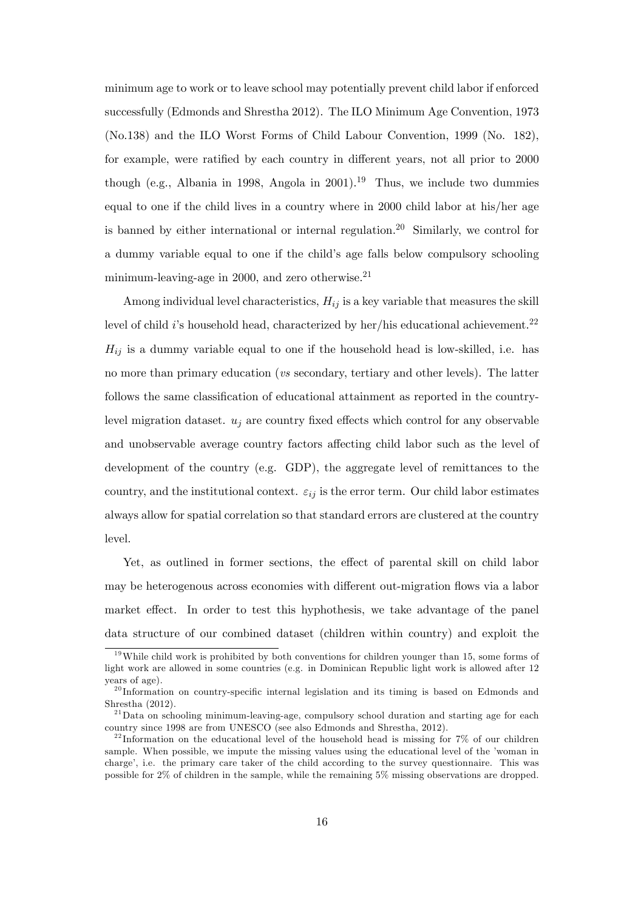minimum age to work or to leave school may potentially prevent child labor if enforced successfully (Edmonds and Shrestha 2012). The ILO Minimum Age Convention, 1973 (No.138) and the ILO Worst Forms of Child Labour Convention, 1999 (No. 182), for example, were ratified by each country in different years, not all prior to 2000 though (e.g., Albania in 1998, Angola in 2001).<sup>19</sup> Thus, we include two dummies equal to one if the child lives in a country where in 2000 child labor at his/her age is banned by either international or internal regulation.<sup>20</sup> Similarly, we control for a dummy variable equal to one if the child's age falls below compulsory schooling minimum-leaving-age in 2000, and zero otherwise. $2<sup>1</sup>$ 

Among individual level characteristics,  $H_{ij}$  is a key variable that measures the skill level of child  $i$ 's household head, characterized by her/his educational achievement.<sup>22</sup>  $H_{ij}$  is a dummy variable equal to one if the household head is low-skilled, i.e. has no more than primary education (vs secondary, tertiary and other levels). The latter follows the same classification of educational attainment as reported in the countrylevel migration dataset.  $u_i$  are country fixed effects which control for any observable and unobservable average country factors affecting child labor such as the level of development of the country (e.g. GDP), the aggregate level of remittances to the country, and the institutional context.  $\varepsilon_{ij}$  is the error term. Our child labor estimates always allow for spatial correlation so that standard errors are clustered at the country level.

Yet, as outlined in former sections, the effect of parental skill on child labor may be heterogenous across economies with different out-migration flows via a labor market effect. In order to test this hyphothesis, we take advantage of the panel data structure of our combined dataset (children within country) and exploit the

 $19$ While child work is prohibited by both conventions for children younger than 15, some forms of light work are allowed in some countries (e.g. in Dominican Republic light work is allowed after 12 years of age).

 $20$  Information on country-specific internal legislation and its timing is based on Edmonds and Shrestha (2012).

 $21$ Data on schooling minimum-leaving-age, compulsory school duration and starting age for each country since 1998 are from UNESCO (see also Edmonds and Shrestha, 2012).

 $^{22}$ Information on the educational level of the household head is missing for 7% of our children sample. When possible, we impute the missing values using the educational level of the 'woman in chargeí, i.e. the primary care taker of the child according to the survey questionnaire. This was possible for 2% of children in the sample, while the remaining 5% missing observations are dropped.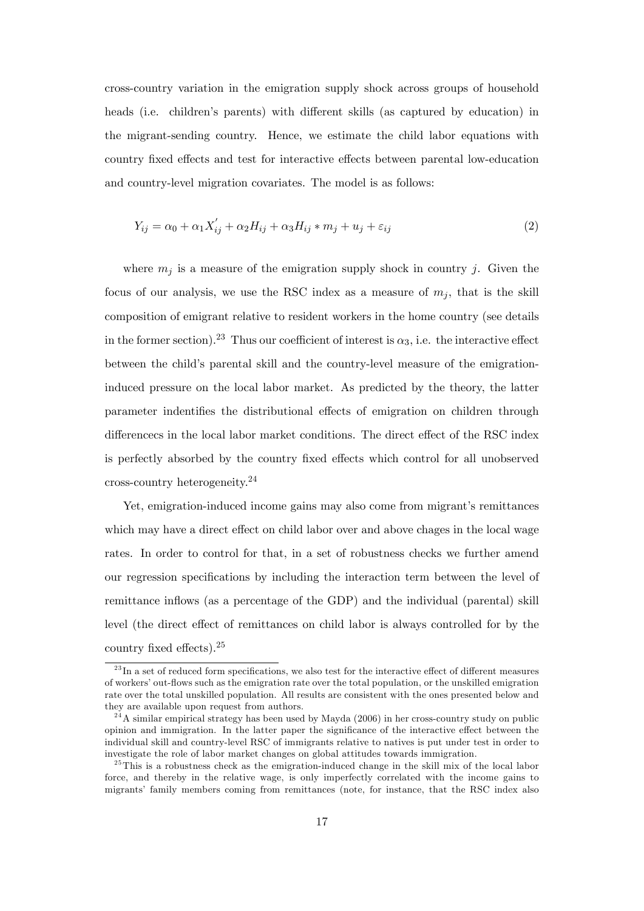cross-country variation in the emigration supply shock across groups of household heads (i.e. children's parents) with different skills (as captured by education) in the migrant-sending country. Hence, we estimate the child labor equations with country fixed effects and test for interactive effects between parental low-education and country-level migration covariates. The model is as follows:

$$
Y_{ij} = \alpha_0 + \alpha_1 X'_{ij} + \alpha_2 H_{ij} + \alpha_3 H_{ij} * m_j + u_j + \varepsilon_{ij}
$$
\n<sup>(2)</sup>

where  $m_i$  is a measure of the emigration supply shock in country j. Given the focus of our analysis, we use the RSC index as a measure of  $m_i$ , that is the skill composition of emigrant relative to resident workers in the home country (see details in the former section).<sup>23</sup> Thus our coefficient of interest is  $\alpha_3$ , i.e. the interactive effect between the childís parental skill and the country-level measure of the emigrationinduced pressure on the local labor market. As predicted by the theory, the latter parameter indentifies the distributional effects of emigration on children through differencecs in the local labor market conditions. The direct effect of the RSC index is perfectly absorbed by the country fixed effects which control for all unobserved cross-country heterogeneity.<sup>24</sup>

Yet, emigration-induced income gains may also come from migrant's remittances which may have a direct effect on child labor over and above chages in the local wage rates. In order to control for that, in a set of robustness checks we further amend our regression specifications by including the interaction term between the level of remittance inflows (as a percentage of the GDP) and the individual (parental) skill level (the direct effect of remittances on child labor is always controlled for by the country fixed effects). $25$ 

 $^{23}$ In a set of reduced form specifications, we also test for the interactive effect of different measures of workersíout-áows such as the emigration rate over the total population, or the unskilled emigration rate over the total unskilled population. All results are consistent with the ones presented below and they are available upon request from authors.

 $^{24}$ A similar empirical strategy has been used by Mayda (2006) in her cross-country study on public opinion and immigration. In the latter paper the significance of the interactive effect between the individual skill and country-level RSC of immigrants relative to natives is put under test in order to investigate the role of labor market changes on global attitudes towards immigration.

<sup>&</sup>lt;sup>25</sup>This is a robustness check as the emigration-induced change in the skill mix of the local labor force, and thereby in the relative wage, is only imperfectly correlated with the income gains to migrants' family members coming from remittances (note, for instance, that the RSC index also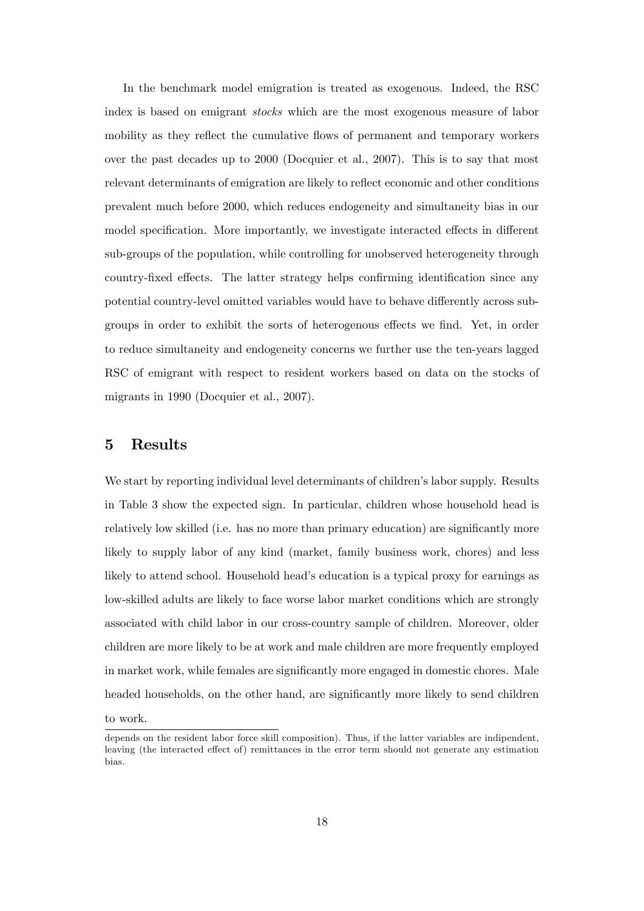In the benchmark model emigration is treated as exogenous. Indeed, the RSC index is based on emigrant *stocks* which are the most exogenous measure of labor mobility as they reflect the cumulative flows of permanent and temporary workers over the past decades up to 2000 (Docquier et al., 2007). This is to say that most relevant determinants of emigration are likely to reflect economic and other conditions prevalent much before 2000, which reduces endogeneity and simultaneity bias in our model specification. More importantly, we investigate interacted effects in different sub-groups of the population, while controlling for unobserved heterogeneity through country-fixed effects. The latter strategy helps confirming identification since any potential country-level omitted variables would have to behave differently across subgroups in order to exhibit the sorts of heterogenous effects we find. Yet, in order to reduce simultaneity and endogeneity concerns we further use the ten-years lagged RSC of emigrant with respect to resident workers based on data on the stocks of migrants in 1990 (Docquier et al., 2007).

# 5 Results

We start by reporting individual level determinants of children's labor supply. Results in Table 3 show the expected sign. In particular, children whose household head is relatively low skilled (i.e. has no more than primary education) are significantly more likely to supply labor of any kind (market, family business work, chores) and less likely to attend school. Household head's education is a typical proxy for earnings as low-skilled adults are likely to face worse labor market conditions which are strongly associated with child labor in our cross-country sample of children. Moreover, older children are more likely to be at work and male children are more frequently employed in market work, while females are significantly more engaged in domestic chores. Male headed households, on the other hand, are significantly more likely to send children to work.

depends on the resident labor force skill composition). Thus, if the latter variables are indipendent, leaving (the interacted effect of) remittances in the error term should not generate any estimation bias.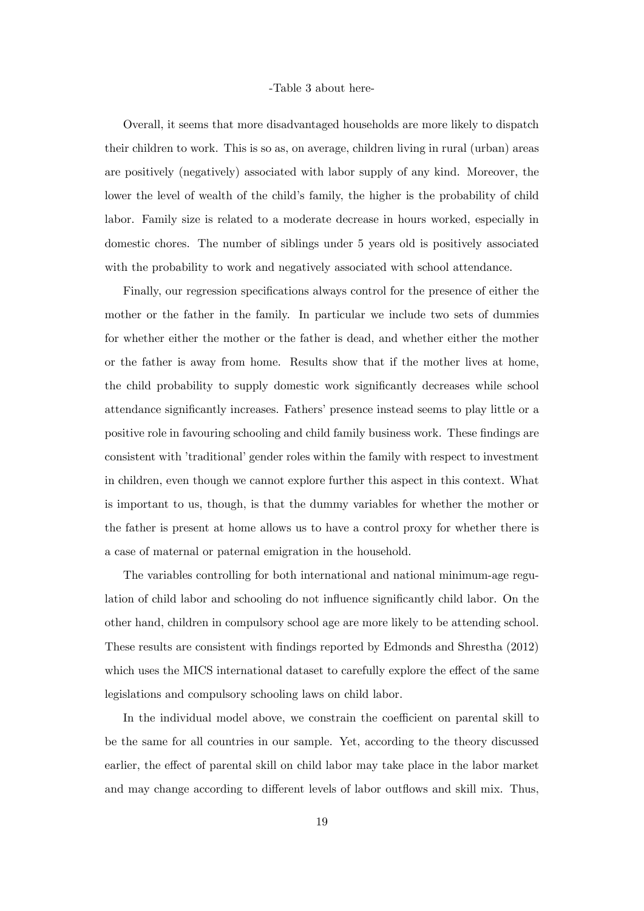#### -Table 3 about here-

Overall, it seems that more disadvantaged households are more likely to dispatch their children to work. This is so as, on average, children living in rural (urban) areas are positively (negatively) associated with labor supply of any kind. Moreover, the lower the level of wealth of the child's family, the higher is the probability of child labor. Family size is related to a moderate decrease in hours worked, especially in domestic chores. The number of siblings under 5 years old is positively associated with the probability to work and negatively associated with school attendance.

Finally, our regression specifications always control for the presence of either the mother or the father in the family. In particular we include two sets of dummies for whether either the mother or the father is dead, and whether either the mother or the father is away from home. Results show that if the mother lives at home, the child probability to supply domestic work significantly decreases while school attendance significantly increases. Fathers' presence instead seems to play little or a positive role in favouring schooling and child family business work. These findings are consistent with 'traditional' gender roles within the family with respect to investment in children, even though we cannot explore further this aspect in this context. What is important to us, though, is that the dummy variables for whether the mother or the father is present at home allows us to have a control proxy for whether there is a case of maternal or paternal emigration in the household.

The variables controlling for both international and national minimum-age regulation of child labor and schooling do not influence significantly child labor. On the other hand, children in compulsory school age are more likely to be attending school. These results are consistent with Öndings reported by Edmonds and Shrestha (2012) which uses the MICS international dataset to carefully explore the effect of the same legislations and compulsory schooling laws on child labor.

In the individual model above, we constrain the coefficient on parental skill to be the same for all countries in our sample. Yet, according to the theory discussed earlier, the effect of parental skill on child labor may take place in the labor market and may change according to different levels of labor outflows and skill mix. Thus,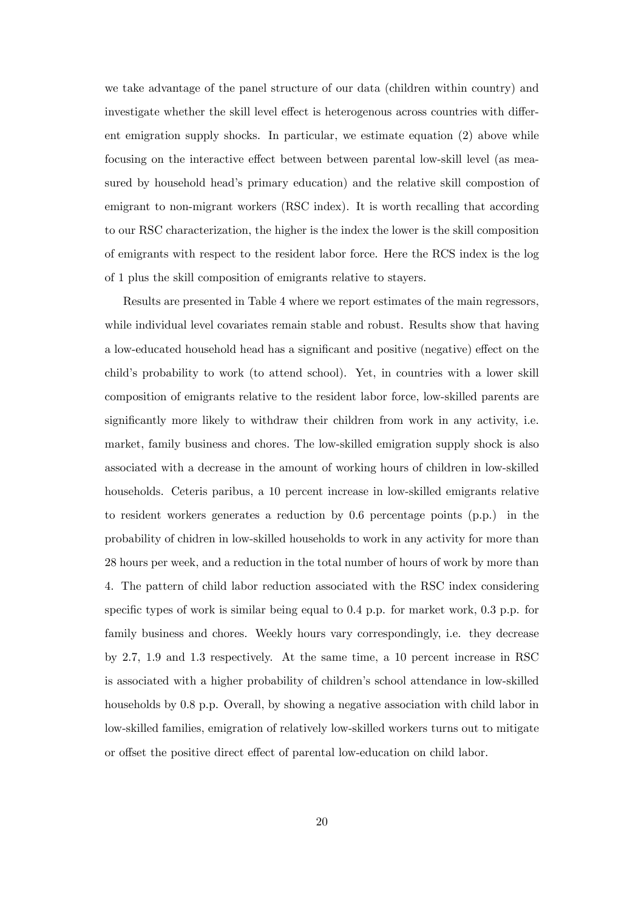we take advantage of the panel structure of our data (children within country) and investigate whether the skill level effect is heterogenous across countries with different emigration supply shocks. In particular, we estimate equation (2) above while focusing on the interactive effect between between parental low-skill level (as measured by household head's primary education) and the relative skill compostion of emigrant to non-migrant workers (RSC index). It is worth recalling that according to our RSC characterization, the higher is the index the lower is the skill composition of emigrants with respect to the resident labor force. Here the RCS index is the log of 1 plus the skill composition of emigrants relative to stayers.

Results are presented in Table 4 where we report estimates of the main regressors, while individual level covariates remain stable and robust. Results show that having a low-educated household head has a significant and positive (negative) effect on the childís probability to work (to attend school). Yet, in countries with a lower skill composition of emigrants relative to the resident labor force, low-skilled parents are significantly more likely to withdraw their children from work in any activity, i.e. market, family business and chores. The low-skilled emigration supply shock is also associated with a decrease in the amount of working hours of children in low-skilled households. Ceteris paribus, a 10 percent increase in low-skilled emigrants relative to resident workers generates a reduction by 0.6 percentage points (p.p.) in the probability of chidren in low-skilled households to work in any activity for more than 28 hours per week, and a reduction in the total number of hours of work by more than 4. The pattern of child labor reduction associated with the RSC index considering specific types of work is similar being equal to  $0.4$  p.p. for market work,  $0.3$  p.p. for family business and chores. Weekly hours vary correspondingly, i.e. they decrease by 2.7, 1.9 and 1.3 respectively. At the same time, a 10 percent increase in RSC is associated with a higher probability of children's school attendance in low-skilled households by 0.8 p.p. Overall, by showing a negative association with child labor in low-skilled families, emigration of relatively low-skilled workers turns out to mitigate or offset the positive direct effect of parental low-education on child labor.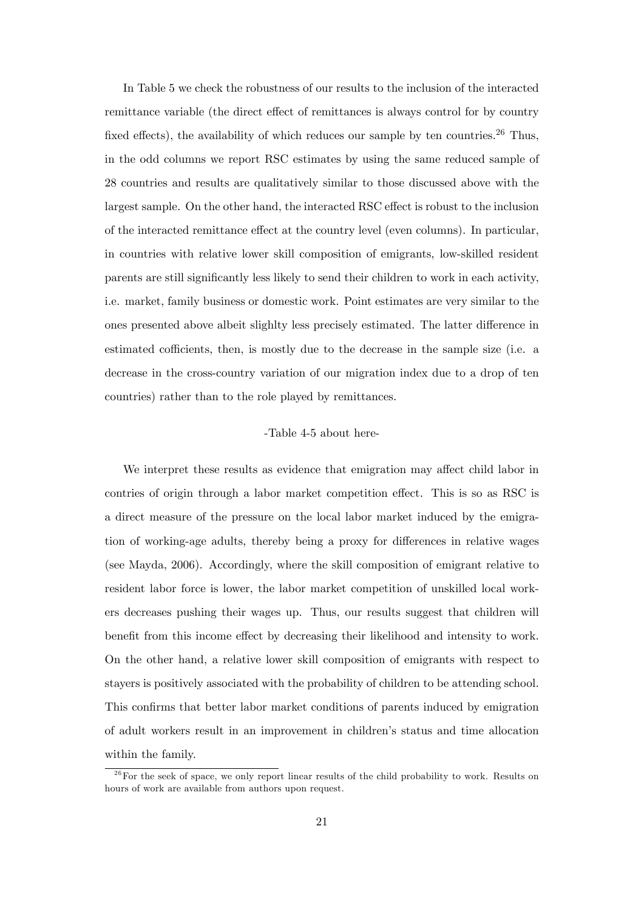In Table 5 we check the robustness of our results to the inclusion of the interacted remittance variable (the direct effect of remittances is always control for by country fixed effects), the availability of which reduces our sample by ten countries.<sup>26</sup> Thus, in the odd columns we report RSC estimates by using the same reduced sample of 28 countries and results are qualitatively similar to those discussed above with the largest sample. On the other hand, the interacted RSC effect is robust to the inclusion of the interacted remittance effect at the country level (even columns). In particular, in countries with relative lower skill composition of emigrants, low-skilled resident parents are still significantly less likely to send their children to work in each activity, i.e. market, family business or domestic work. Point estimates are very similar to the ones presented above albeit slighlty less precisely estimated. The latter difference in estimated cofficients, then, is mostly due to the decrease in the sample size (i.e. a decrease in the cross-country variation of our migration index due to a drop of ten countries) rather than to the role played by remittances.

#### -Table 4-5 about here-

We interpret these results as evidence that emigration may affect child labor in contries of origin through a labor market competition effect. This is so as RSC is a direct measure of the pressure on the local labor market induced by the emigration of working-age adults, thereby being a proxy for differences in relative wages (see Mayda, 2006). Accordingly, where the skill composition of emigrant relative to resident labor force is lower, the labor market competition of unskilled local workers decreases pushing their wages up. Thus, our results suggest that children will benefit from this income effect by decreasing their likelihood and intensity to work. On the other hand, a relative lower skill composition of emigrants with respect to stayers is positively associated with the probability of children to be attending school. This confirms that better labor market conditions of parents induced by emigration of adult workers result in an improvement in childrenís status and time allocation within the family.

 $2<sup>6</sup>$  For the seek of space, we only report linear results of the child probability to work. Results on hours of work are available from authors upon request.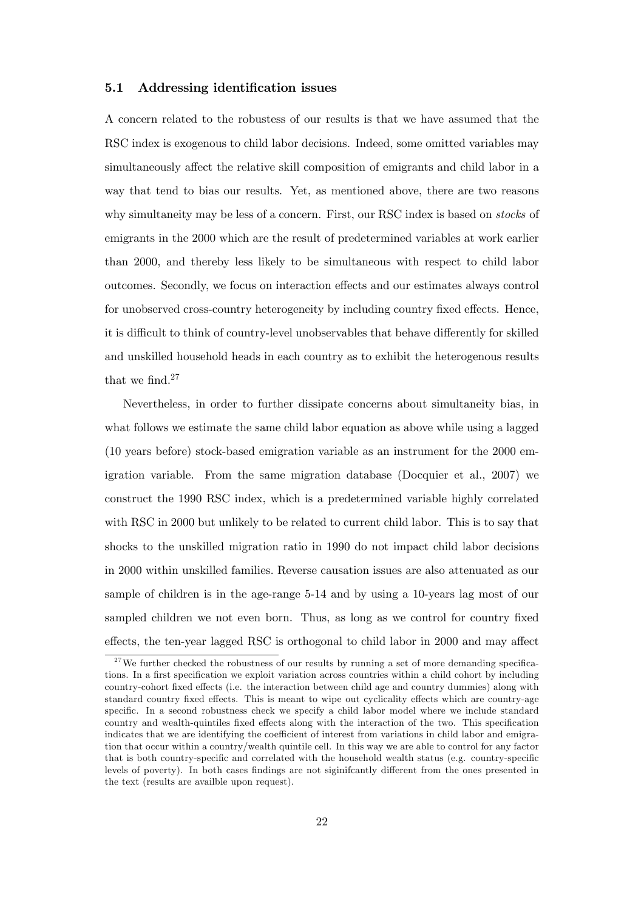#### 5.1 Addressing identification issues

A concern related to the robustess of our results is that we have assumed that the RSC index is exogenous to child labor decisions. Indeed, some omitted variables may simultaneously affect the relative skill composition of emigrants and child labor in a way that tend to bias our results. Yet, as mentioned above, there are two reasons why simultaneity may be less of a concern. First, our RSC index is based on *stocks* of emigrants in the 2000 which are the result of predetermined variables at work earlier than 2000, and thereby less likely to be simultaneous with respect to child labor outcomes. Secondly, we focus on interaction effects and our estimates always control for unobserved cross-country heterogeneity by including country fixed effects. Hence, it is difficult to think of country-level unobservables that behave differently for skilled and unskilled household heads in each country as to exhibit the heterogenous results that we find. $27$ 

Nevertheless, in order to further dissipate concerns about simultaneity bias, in what follows we estimate the same child labor equation as above while using a lagged (10 years before) stock-based emigration variable as an instrument for the 2000 emigration variable. From the same migration database (Docquier et al., 2007) we construct the 1990 RSC index, which is a predetermined variable highly correlated with RSC in 2000 but unlikely to be related to current child labor. This is to say that shocks to the unskilled migration ratio in 1990 do not impact child labor decisions in 2000 within unskilled families. Reverse causation issues are also attenuated as our sample of children is in the age-range 5-14 and by using a 10-years lag most of our sampled children we not even born. Thus, as long as we control for country fixed effects, the ten-year lagged RSC is orthogonal to child labor in  $2000$  and may affect

 $27$ We further checked the robustness of our results by running a set of more demanding specifications. In a first specification we exploit variation across countries within a child cohort by including country-cohort fixed effects (i.e. the interaction between child age and country dummies) along with standard country fixed effects. This is meant to wipe out cyclicality effects which are country-age specific. In a second robustness check we specify a child labor model where we include standard country and wealth-quintiles fixed effects along with the interaction of the two. This specification indicates that we are identifying the coefficient of interest from variations in child labor and emigration that occur within a country/wealth quintile cell. In this way we are able to control for any factor that is both country-specific and correlated with the household wealth status (e.g. country-specific levels of poverty). In both cases findings are not siginificantly different from the ones presented in the text (results are availble upon request).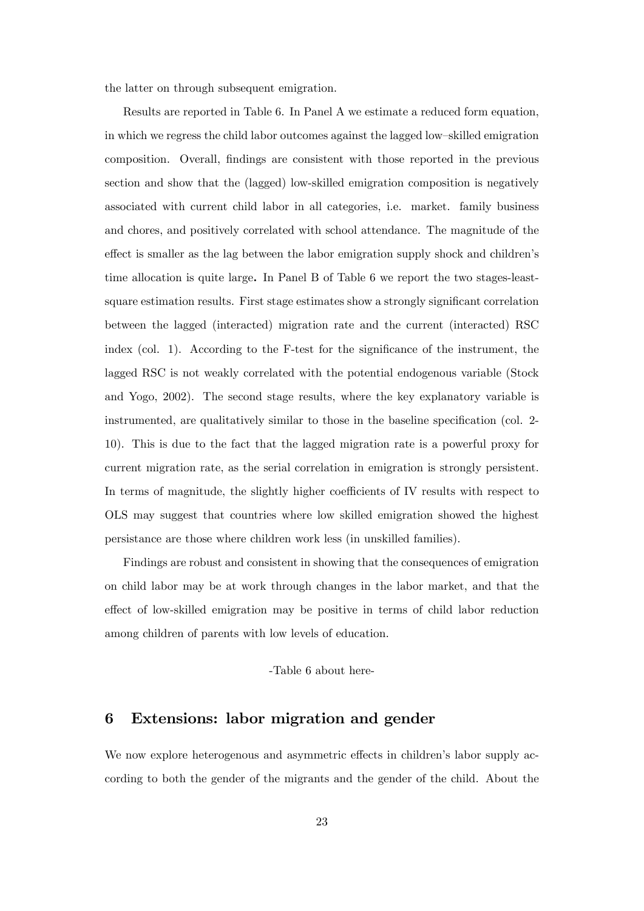the latter on through subsequent emigration.

Results are reported in Table 6. In Panel A we estimate a reduced form equation, in which we regress the child labor outcomes against the lagged low-skilled emigration composition. Overall, Öndings are consistent with those reported in the previous section and show that the (lagged) low-skilled emigration composition is negatively associated with current child labor in all categories, i.e. market. family business and chores, and positively correlated with school attendance. The magnitude of the effect is smaller as the lag between the labor emigration supply shock and children's time allocation is quite large. In Panel B of Table 6 we report the two stages-leastsquare estimation results. First stage estimates show a strongly significant correlation between the lagged (interacted) migration rate and the current (interacted) RSC index (col. 1). According to the  $F$ -test for the significance of the instrument, the lagged RSC is not weakly correlated with the potential endogenous variable (Stock and Yogo, 2002). The second stage results, where the key explanatory variable is instrumented, are qualitatively similar to those in the baseline specification (col. 2-10). This is due to the fact that the lagged migration rate is a powerful proxy for current migration rate, as the serial correlation in emigration is strongly persistent. In terms of magnitude, the slightly higher coefficients of IV results with respect to OLS may suggest that countries where low skilled emigration showed the highest persistance are those where children work less (in unskilled families).

Findings are robust and consistent in showing that the consequences of emigration on child labor may be at work through changes in the labor market, and that the effect of low-skilled emigration may be positive in terms of child labor reduction among children of parents with low levels of education.

#### -Table 6 about here-

### 6 Extensions: labor migration and gender

We now explore heterogenous and asymmetric effects in children's labor supply according to both the gender of the migrants and the gender of the child. About the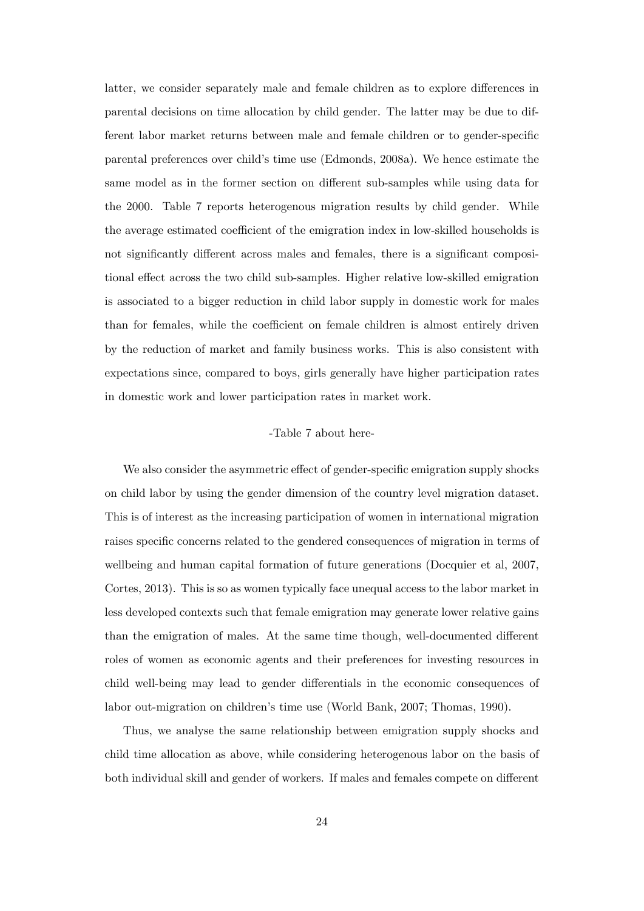latter, we consider separately male and female children as to explore differences in parental decisions on time allocation by child gender. The latter may be due to different labor market returns between male and female children or to gender-specific parental preferences over childís time use (Edmonds, 2008a). We hence estimate the same model as in the former section on different sub-samples while using data for the 2000. Table 7 reports heterogenous migration results by child gender. While the average estimated coefficient of the emigration index in low-skilled households is not significantly different across males and females, there is a significant compositional effect across the two child sub-samples. Higher relative low-skilled emigration is associated to a bigger reduction in child labor supply in domestic work for males than for females, while the coefficient on female children is almost entirely driven by the reduction of market and family business works. This is also consistent with expectations since, compared to boys, girls generally have higher participation rates in domestic work and lower participation rates in market work.

#### -Table 7 about here-

We also consider the asymmetric effect of gender-specific emigration supply shocks on child labor by using the gender dimension of the country level migration dataset. This is of interest as the increasing participation of women in international migration raises specific concerns related to the gendered consequences of migration in terms of wellbeing and human capital formation of future generations (Docquier et al, 2007, Cortes, 2013). This is so as women typically face unequal access to the labor market in less developed contexts such that female emigration may generate lower relative gains than the emigration of males. At the same time though, well-documented different roles of women as economic agents and their preferences for investing resources in child well-being may lead to gender differentials in the economic consequences of labor out-migration on childrenís time use (World Bank, 2007; Thomas, 1990).

Thus, we analyse the same relationship between emigration supply shocks and child time allocation as above, while considering heterogenous labor on the basis of both individual skill and gender of workers. If males and females compete on different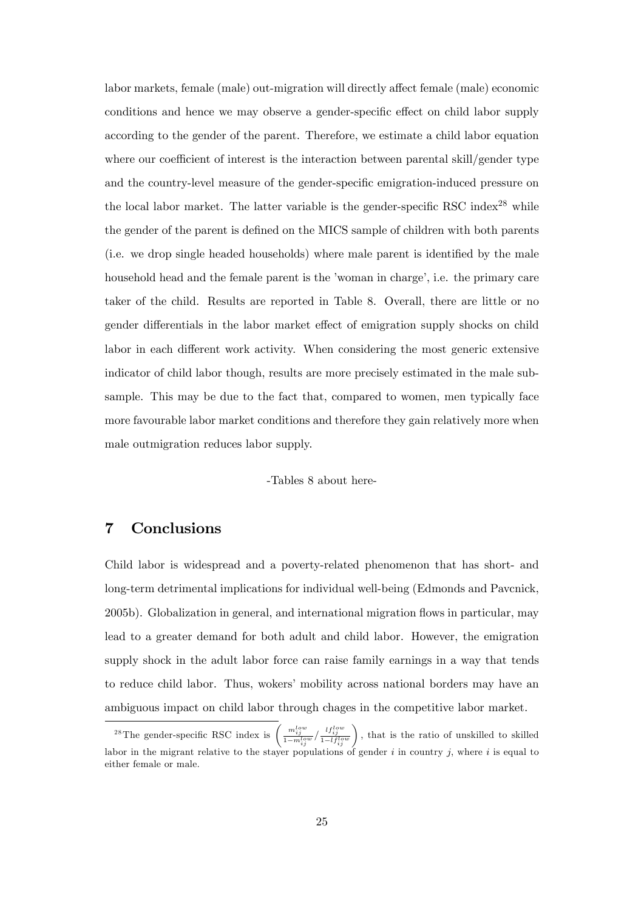labor markets, female (male) out-migration will directly affect female (male) economic conditions and hence we may observe a gender-specific effect on child labor supply according to the gender of the parent. Therefore, we estimate a child labor equation where our coefficient of interest is the interaction between parental skill/gender type and the country-level measure of the gender-specific emigration-induced pressure on the local labor market. The latter variable is the gender-specific RSC index<sup>28</sup> while the gender of the parent is defined on the MICS sample of children with both parents (i.e. we drop single headed households) where male parent is identified by the male household head and the female parent is the 'woman in charge', i.e. the primary care taker of the child. Results are reported in Table 8. Overall, there are little or no gender differentials in the labor market effect of emigration supply shocks on child labor in each different work activity. When considering the most generic extensive indicator of child labor though, results are more precisely estimated in the male subsample. This may be due to the fact that, compared to women, men typically face more favourable labor market conditions and therefore they gain relatively more when male outmigration reduces labor supply.

-Tables 8 about here-

### 7 Conclusions

Child labor is widespread and a poverty-related phenomenon that has short- and long-term detrimental implications for individual well-being (Edmonds and Pavcnick, 2005b). Globalization in general, and international migration áows in particular, may lead to a greater demand for both adult and child labor. However, the emigration supply shock in the adult labor force can raise family earnings in a way that tends to reduce child labor. Thus, wokers' mobility across national borders may have an ambiguous impact on child labor through chages in the competitive labor market.

<sup>&</sup>lt;sup>28</sup>The gender-specific RSC index is  $\left(\frac{m_{ij}^{low}}{1-m_{ij}^{low}}/\frac{lf_{ij}^{low}}{1-lf_{ij}^{low}}\right)$ , that is the ratio of unskilled to skilled labor in the migrant relative to the stayer populations of gender  $i$  in country  $j$ , where  $i$  is equal to either female or male.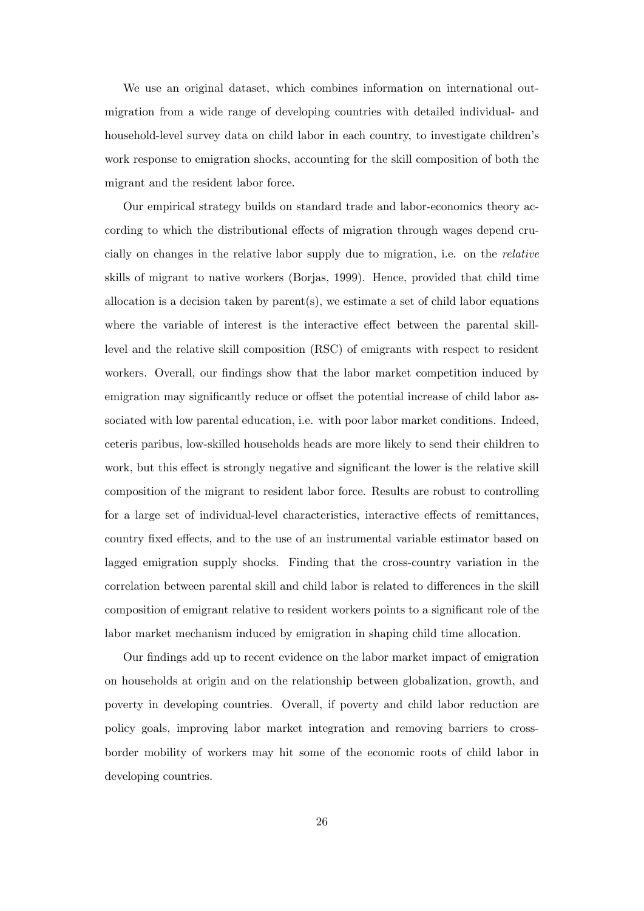We use an original dataset, which combines information on international outmigration from a wide range of developing countries with detailed individual- and household-level survey data on child labor in each country, to investigate children's work response to emigration shocks, accounting for the skill composition of both the migrant and the resident labor force.

Our empirical strategy builds on standard trade and labor-economics theory according to which the distributional effects of migration through wages depend crucially on changes in the relative labor supply due to migration, i.e. on the relative skills of migrant to native workers (Borjas, 1999). Hence, provided that child time allocation is a decision taken by parent(s), we estimate a set of child labor equations where the variable of interest is the interactive effect between the parental skilllevel and the relative skill composition (RSC) of emigrants with respect to resident workers. Overall, our findings show that the labor market competition induced by emigration may significantly reduce or offset the potential increase of child labor associated with low parental education, i.e. with poor labor market conditions. Indeed, ceteris paribus, low-skilled households heads are more likely to send their children to work, but this effect is strongly negative and significant the lower is the relative skill composition of the migrant to resident labor force. Results are robust to controlling for a large set of individual-level characteristics, interactive effects of remittances, country fixed effects, and to the use of an instrumental variable estimator based on lagged emigration supply shocks. Finding that the cross-country variation in the correlation between parental skill and child labor is related to differences in the skill composition of emigrant relative to resident workers points to a significant role of the labor market mechanism induced by emigration in shaping child time allocation.

Our findings add up to recent evidence on the labor market impact of emigration on households at origin and on the relationship between globalization, growth, and poverty in developing countries. Overall, if poverty and child labor reduction are policy goals, improving labor market integration and removing barriers to crossborder mobility of workers may hit some of the economic roots of child labor in developing countries.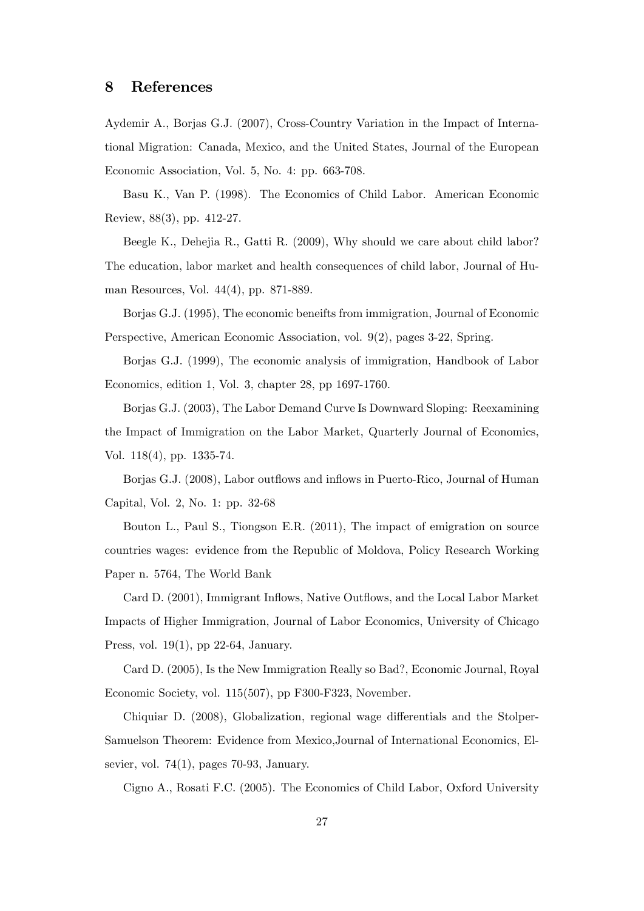### 8 References

Aydemir A., Borjas G.J. (2007), Cross-Country Variation in the Impact of International Migration: Canada, Mexico, and the United States, Journal of the European Economic Association, Vol. 5, No. 4: pp. 663-708.

Basu K., Van P. (1998). The Economics of Child Labor. American Economic Review, 88(3), pp. 412-27.

Beegle K., Dehejia R., Gatti R. (2009), Why should we care about child labor? The education, labor market and health consequences of child labor, Journal of Human Resources, Vol. 44(4), pp. 871-889.

Borjas G.J. (1995), The economic beneifts from immigration, Journal of Economic Perspective, American Economic Association, vol. 9(2), pages 3-22, Spring.

Borjas G.J. (1999), The economic analysis of immigration, Handbook of Labor Economics, edition 1, Vol. 3, chapter 28, pp 1697-1760.

Borjas G.J. (2003), The Labor Demand Curve Is Downward Sloping: Reexamining the Impact of Immigration on the Labor Market, Quarterly Journal of Economics, Vol. 118(4), pp. 1335-74.

Borjas G.J. (2008), Labor outflows and inflows in Puerto-Rico, Journal of Human Capital, Vol. 2, No. 1: pp. 32-68

Bouton L., Paul S., Tiongson E.R. (2011), The impact of emigration on source countries wages: evidence from the Republic of Moldova, Policy Research Working Paper n. 5764, The World Bank

Card D. (2001), Immigrant Inflows, Native Outflows, and the Local Labor Market Impacts of Higher Immigration, Journal of Labor Economics, University of Chicago Press, vol. 19(1), pp 22-64, January.

Card D. (2005), Is the New Immigration Really so Bad?, Economic Journal, Royal Economic Society, vol. 115(507), pp F300-F323, November.

Chiquiar D. (2008), Globalization, regional wage differentials and the Stolper-Samuelson Theorem: Evidence from Mexico,Journal of International Economics, Elsevier, vol.  $74(1)$ , pages 70-93, January.

Cigno A., Rosati F.C. (2005). The Economics of Child Labor, Oxford University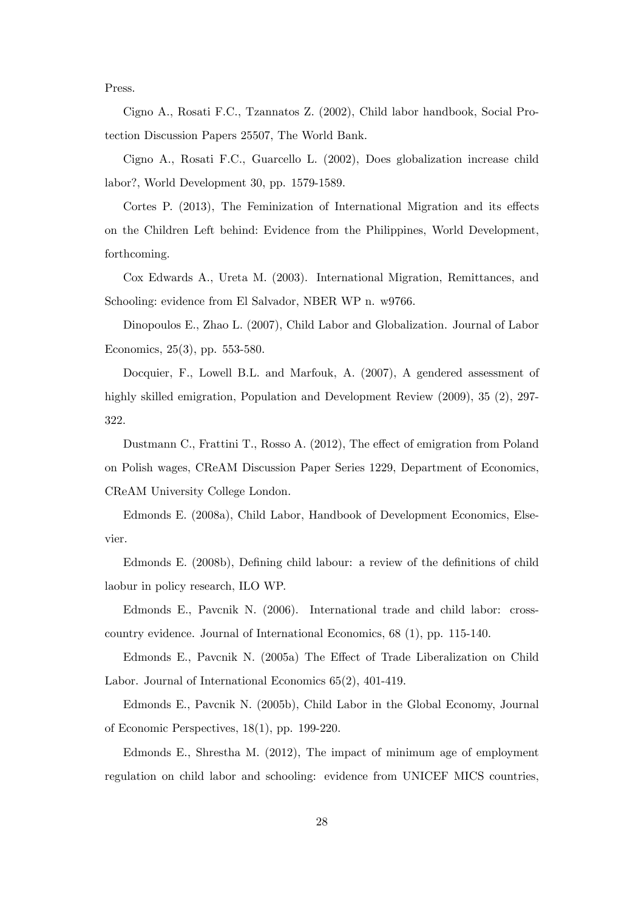Press.

Cigno A., Rosati F.C., Tzannatos Z. (2002), Child labor handbook, Social Protection Discussion Papers 25507, The World Bank.

Cigno A., Rosati F.C., Guarcello L. (2002), Does globalization increase child labor?, World Development 30, pp. 1579-1589.

Cortes P. (2013), The Feminization of International Migration and its effects on the Children Left behind: Evidence from the Philippines, World Development, forthcoming.

Cox Edwards A., Ureta M. (2003). International Migration, Remittances, and Schooling: evidence from El Salvador, NBER WP n. w9766.

Dinopoulos E., Zhao L. (2007), Child Labor and Globalization. Journal of Labor Economics, 25(3), pp. 553-580.

Docquier, F., Lowell B.L. and Marfouk, A. (2007), A gendered assessment of highly skilled emigration, Population and Development Review (2009), 35 (2), 297- 322.

Dustmann C., Frattini T., Rosso A. (2012), The effect of emigration from Poland on Polish wages, CReAM Discussion Paper Series 1229, Department of Economics, CReAM University College London.

Edmonds E. (2008a), Child Labor, Handbook of Development Economics, Elsevier.

Edmonds E. (2008b), Defining child labour: a review of the definitions of child laobur in policy research, ILO WP.

Edmonds E., Pavcnik N. (2006). International trade and child labor: crosscountry evidence. Journal of International Economics, 68 (1), pp. 115-140.

Edmonds E., Pavcnik N. (2005a) The Effect of Trade Liberalization on Child Labor. Journal of International Economics 65(2), 401-419.

Edmonds E., Pavcnik N. (2005b), Child Labor in the Global Economy, Journal of Economic Perspectives, 18(1), pp. 199-220.

Edmonds E., Shrestha M. (2012), The impact of minimum age of employment regulation on child labor and schooling: evidence from UNICEF MICS countries,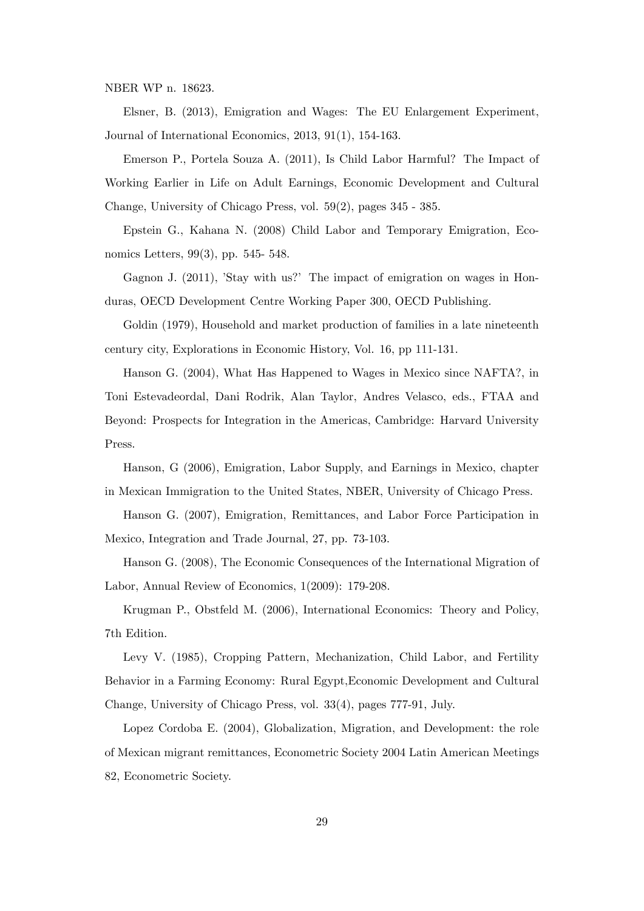NBER WP n. 18623.

Elsner, B. (2013), Emigration and Wages: The EU Enlargement Experiment, Journal of International Economics, 2013, 91(1), 154-163.

Emerson P., Portela Souza A. (2011), Is Child Labor Harmful? The Impact of Working Earlier in Life on Adult Earnings, Economic Development and Cultural Change, University of Chicago Press, vol. 59(2), pages 345 - 385.

Epstein G., Kahana N. (2008) Child Labor and Temporary Emigration, Economics Letters, 99(3), pp. 545- 548.

Gagnon J. (2011), 'Stay with us?' The impact of emigration on wages in Honduras, OECD Development Centre Working Paper 300, OECD Publishing.

Goldin (1979), Household and market production of families in a late nineteenth century city, Explorations in Economic History, Vol. 16, pp 111-131.

Hanson G. (2004), What Has Happened to Wages in Mexico since NAFTA?, in Toni Estevadeordal, Dani Rodrik, Alan Taylor, Andres Velasco, eds., FTAA and Beyond: Prospects for Integration in the Americas, Cambridge: Harvard University Press.

Hanson, G (2006), Emigration, Labor Supply, and Earnings in Mexico, chapter in Mexican Immigration to the United States, NBER, University of Chicago Press.

Hanson G. (2007), Emigration, Remittances, and Labor Force Participation in Mexico, Integration and Trade Journal, 27, pp. 73-103.

Hanson G. (2008), The Economic Consequences of the International Migration of Labor, Annual Review of Economics, 1(2009): 179-208.

Krugman P., Obstfeld M. (2006), International Economics: Theory and Policy, 7th Edition.

Levy V. (1985), Cropping Pattern, Mechanization, Child Labor, and Fertility Behavior in a Farming Economy: Rural Egypt,Economic Development and Cultural Change, University of Chicago Press, vol. 33(4), pages 777-91, July.

Lopez Cordoba E. (2004), Globalization, Migration, and Development: the role of Mexican migrant remittances, Econometric Society 2004 Latin American Meetings 82, Econometric Society.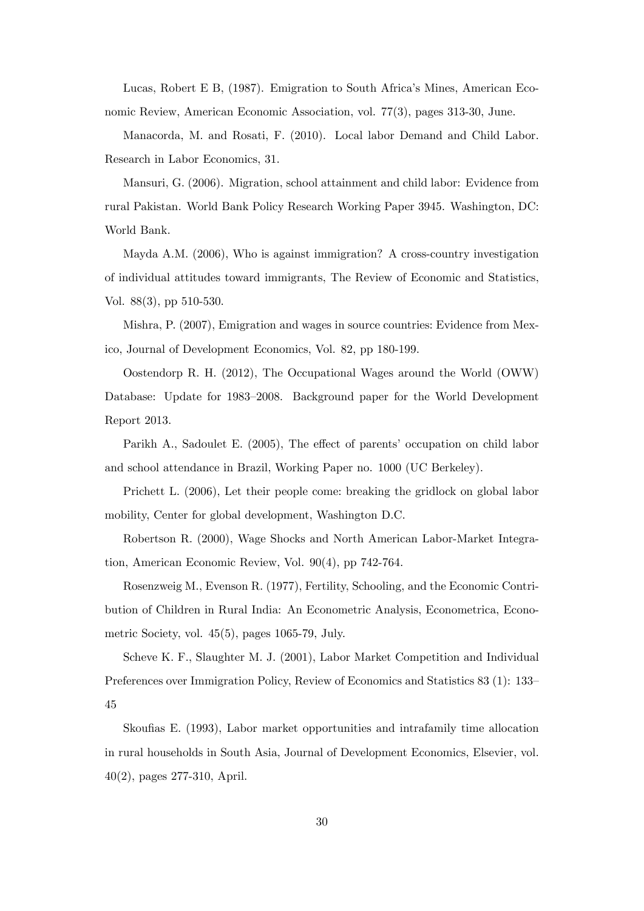Lucas, Robert E B, (1987). Emigration to South Africa's Mines, American Economic Review, American Economic Association, vol. 77(3), pages 313-30, June.

Manacorda, M. and Rosati, F. (2010). Local labor Demand and Child Labor. Research in Labor Economics, 31.

Mansuri, G. (2006). Migration, school attainment and child labor: Evidence from rural Pakistan. World Bank Policy Research Working Paper 3945. Washington, DC: World Bank.

Mayda A.M. (2006), Who is against immigration? A cross-country investigation of individual attitudes toward immigrants, The Review of Economic and Statistics, Vol. 88(3), pp 510-530.

Mishra, P. (2007), Emigration and wages in source countries: Evidence from Mexico, Journal of Development Economics, Vol. 82, pp 180-199.

Oostendorp R. H. (2012), The Occupational Wages around the World (OWW) Database: Update for 1983–2008. Background paper for the World Development Report 2013.

Parikh A., Sadoulet E. (2005), The effect of parents' occupation on child labor and school attendance in Brazil, Working Paper no. 1000 (UC Berkeley).

Prichett L. (2006), Let their people come: breaking the gridlock on global labor mobility, Center for global development, Washington D.C.

Robertson R. (2000), Wage Shocks and North American Labor-Market Integration, American Economic Review, Vol. 90(4), pp 742-764.

Rosenzweig M., Evenson R. (1977), Fertility, Schooling, and the Economic Contribution of Children in Rural India: An Econometric Analysis, Econometrica, Econometric Society, vol. 45(5), pages 1065-79, July.

Scheve K. F., Slaughter M. J. (2001), Labor Market Competition and Individual Preferences over Immigration Policy, Review of Economics and Statistics 83 (1): 133– 45

Skoufias E. (1993), Labor market opportunities and intrafamily time allocation in rural households in South Asia, Journal of Development Economics, Elsevier, vol. 40(2), pages 277-310, April.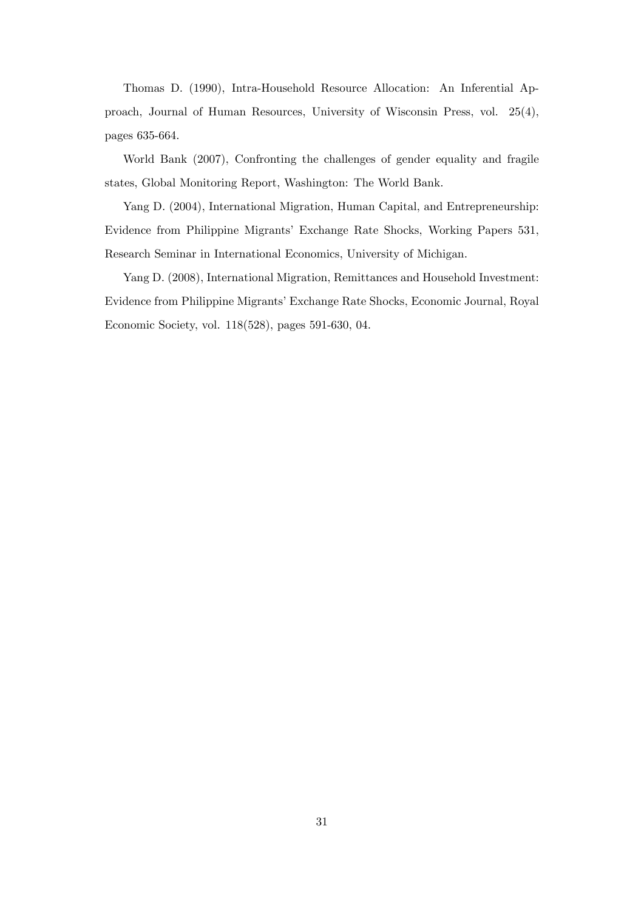Thomas D. (1990), Intra-Household Resource Allocation: An Inferential Approach, Journal of Human Resources, University of Wisconsin Press, vol. 25(4), pages 635-664.

World Bank (2007), Confronting the challenges of gender equality and fragile states, Global Monitoring Report, Washington: The World Bank.

Yang D. (2004), International Migration, Human Capital, and Entrepreneurship: Evidence from Philippine Migrantsí Exchange Rate Shocks, Working Papers 531, Research Seminar in International Economics, University of Michigan.

Yang D. (2008), International Migration, Remittances and Household Investment: Evidence from Philippine Migrants' Exchange Rate Shocks, Economic Journal, Royal Economic Society, vol. 118(528), pages 591-630, 04.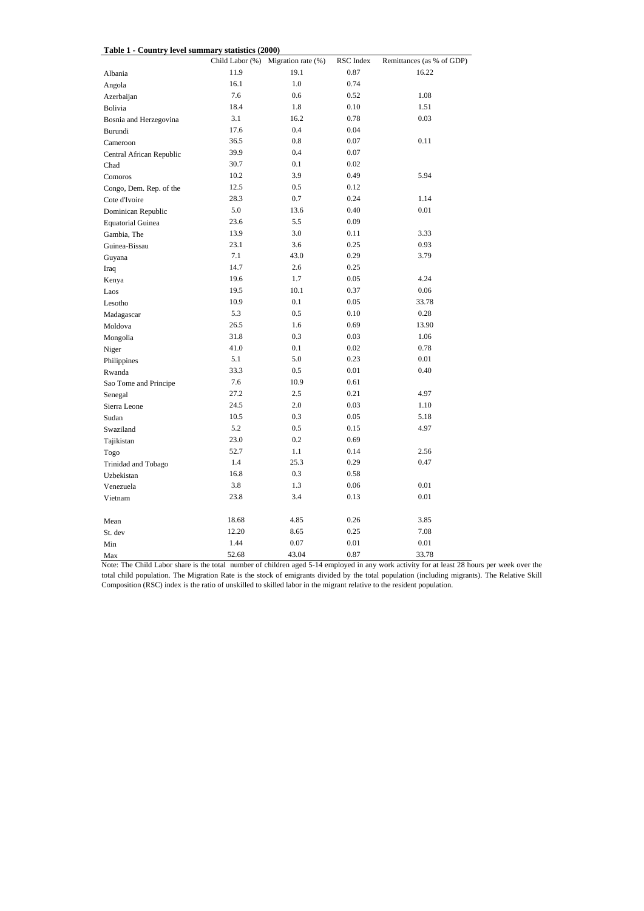# **Table 1 - Country level summary statistics (2000)**

| Table 1 - Country lever summary statistics (2000) |       |                                    |           |                           |
|---------------------------------------------------|-------|------------------------------------|-----------|---------------------------|
|                                                   |       | Child Labor (%) Migration rate (%) | RSC Index | Remittances (as % of GDP) |
| Albania                                           | 11.9  | 19.1                               | 0.87      | 16.22                     |
| Angola                                            | 16.1  | 1.0                                | 0.74      |                           |
| Azerbaijan                                        | 7.6   | 0.6                                | 0.52      | 1.08                      |
| Bolivia                                           | 18.4  | 1.8                                | 0.10      | 1.51                      |
| Bosnia and Herzegovina                            | 3.1   | 16.2                               | 0.78      | 0.03                      |
| Burundi                                           | 17.6  | 0.4                                | 0.04      |                           |
| Cameroon                                          | 36.5  | 0.8                                | 0.07      | 0.11                      |
| Central African Republic                          | 39.9  | 0.4                                | 0.07      |                           |
| Chad                                              | 30.7  | 0.1                                | 0.02      |                           |
| Comoros                                           | 10.2  | 3.9                                | 0.49      | 5.94                      |
| Congo, Dem. Rep. of the                           | 12.5  | 0.5                                | 0.12      |                           |
| Cote d'Ivoire                                     | 28.3  | 0.7                                | 0.24      | 1.14                      |
| Dominican Republic                                | 5.0   | 13.6                               | 0.40      | $0.01\,$                  |
| <b>Equatorial Guinea</b>                          | 23.6  | 5.5                                | 0.09      |                           |
| Gambia, The                                       | 13.9  | 3.0                                | 0.11      | 3.33                      |
| Guinea-Bissau                                     | 23.1  | 3.6                                | 0.25      | 0.93                      |
| Guyana                                            | 7.1   | 43.0                               | 0.29      | 3.79                      |
| Iraq                                              | 14.7  | 2.6                                | 0.25      |                           |
| Kenya                                             | 19.6  | 1.7                                | 0.05      | 4.24                      |
| Laos                                              | 19.5  | 10.1                               | 0.37      | 0.06                      |
| Lesotho                                           | 10.9  | 0.1                                | 0.05      | 33.78                     |
| Madagascar                                        | 5.3   | 0.5                                | 0.10      | 0.28                      |
| Moldova                                           | 26.5  | 1.6                                | 0.69      | 13.90                     |
| Mongolia                                          | 31.8  | 0.3                                | 0.03      | 1.06                      |
| Niger                                             | 41.0  | 0.1                                | $0.02\,$  | 0.78                      |
| Philippines                                       | 5.1   | 5.0                                | 0.23      | $0.01\,$                  |
| Rwanda                                            | 33.3  | 0.5                                | 0.01      | 0.40                      |
| Sao Tome and Principe                             | 7.6   | 10.9                               | 0.61      |                           |
| Senegal                                           | 27.2  | $2.5\,$                            | 0.21      | 4.97                      |
| Sierra Leone                                      | 24.5  | 2.0                                | 0.03      | 1.10                      |
| Sudan                                             | 10.5  | 0.3                                | 0.05      | 5.18                      |
| Swaziland                                         | 5.2   | 0.5                                | 0.15      | 4.97                      |
| Tajikistan                                        | 23.0  | 0.2                                | 0.69      |                           |
| Togo                                              | 52.7  | $1.1\,$                            | 0.14      | 2.56                      |
| Trinidad and Tobago                               | 1.4   | 25.3                               | 0.29      | 0.47                      |
| Uzbekistan                                        | 16.8  | 0.3                                | 0.58      |                           |
| Venezuela                                         | 3.8   | 1.3                                | $0.06\,$  | $0.01\,$                  |
| Vietnam                                           | 23.8  | 3.4                                | 0.13      | $0.01\,$                  |
|                                                   |       |                                    |           |                           |
| Mean                                              | 18.68 | 4.85                               | 0.26      | 3.85                      |
| St. dev                                           | 12.20 | 8.65                               | 0.25      | 7.08                      |
| Min                                               | 1.44  | 0.07                               | 0.01      | 0.01                      |
| $\operatorname{Max}$                              | 52.68 | 43.04                              | 0.87      | 33.78                     |

Note: The Child Labor share is the total number of children aged 5-14 employed in any work activity for at least 28 hours per week over the total child population. The Migration Rate is the stock of emigrants divided by the total population (including migrants). The Relative Skill Composition (RSC) index is the ratio of unskilled to skilled labor in the migrant relative to the resident population.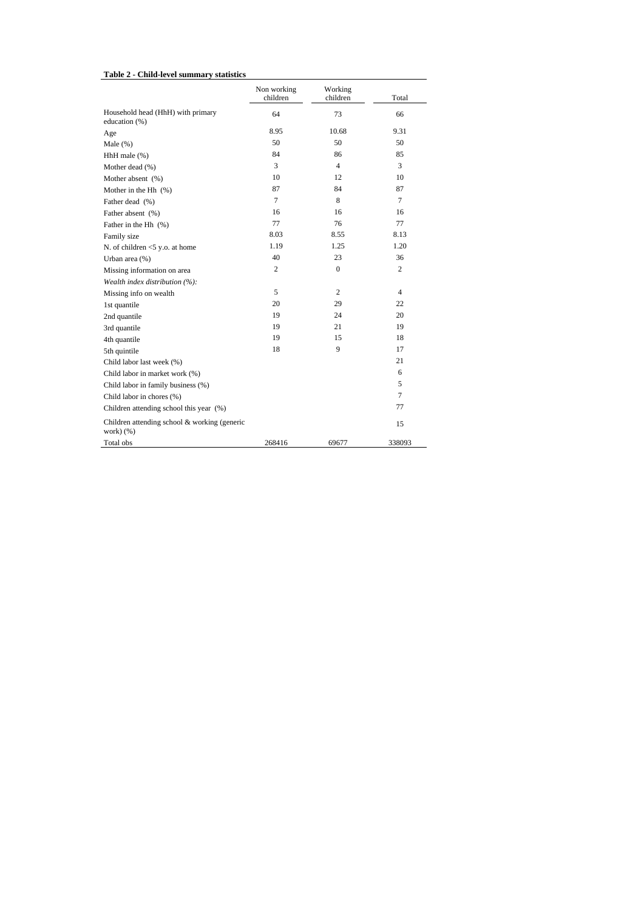# **Table 2 - Child-level summary statistics**

|                                                                  | Non working<br>children | Working<br>children | Total          |
|------------------------------------------------------------------|-------------------------|---------------------|----------------|
| Household head (HhH) with primary<br>education (%)               | 64                      | 73                  | 66             |
| Age                                                              | 8.95                    | 10.68               | 9.31           |
| Male $(\%)$                                                      | 50                      | 50                  | 50             |
| HhH male (%)                                                     | 84                      | 86                  | 85             |
| Mother dead (%)                                                  | 3                       | $\overline{4}$      | 3              |
| Mother absent (%)                                                | 10                      | 12                  | 10             |
| Mother in the Hh $(\%)$                                          | 87                      | 84                  | 87             |
| Father dead (%)                                                  | $\tau$                  | 8                   | $\overline{7}$ |
| Father absent (%)                                                | 16                      | 16                  | 16             |
| Father in the Hh (%)                                             | 77                      | 76                  | 77             |
| Family size                                                      | 8.03                    | 8.55                | 8.13           |
| N. of children $<$ 5 y.o. at home                                | 1.19                    | 1.25                | 1.20           |
| Urban area (%)                                                   | 40                      | 23                  | 36             |
| Missing information on area                                      | $\overline{2}$          | $\theta$            | $\overline{2}$ |
| Wealth index distribution (%):                                   |                         |                     |                |
| Missing info on wealth                                           | 5                       | $\overline{2}$      | $\overline{4}$ |
| 1st quantile                                                     | 20                      | 29                  | 22             |
| 2nd quantile                                                     | 19                      | 24                  | 20             |
| 3rd quantile                                                     | 19                      | 21                  | 19             |
| 4th quantile                                                     | 19                      | 15                  | 18             |
| 5th quintile                                                     | 18                      | 9                   | 17             |
| Child labor last week (%)                                        |                         |                     | 21             |
| Child labor in market work (%)                                   |                         |                     | 6              |
| Child labor in family business (%)                               |                         |                     | 5              |
| Child labor in chores (%)                                        |                         |                     | $\overline{7}$ |
| Children attending school this year (%)                          |                         |                     | 77             |
| Children attending school & working (generic<br>work $)$ $(\% )$ |                         |                     | 15             |
| Total obs                                                        | 268416                  | 69677               | 338093         |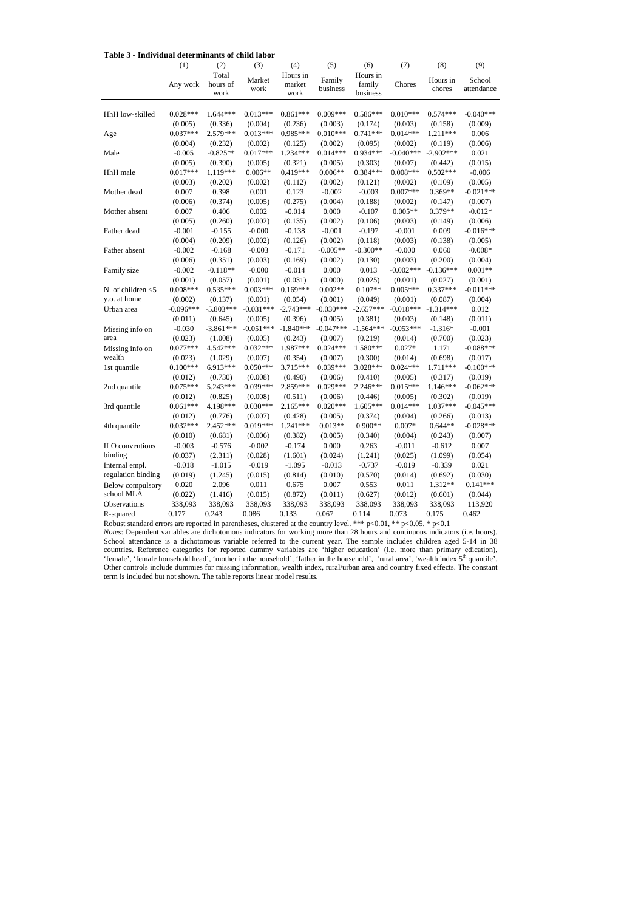|                      | (1)         | (2)                       | (3)            | (4)                        | (5)                | (6)                            | (7)         | (8)                | (9)                  |
|----------------------|-------------|---------------------------|----------------|----------------------------|--------------------|--------------------------------|-------------|--------------------|----------------------|
|                      | Any work    | Total<br>hours of<br>work | Market<br>work | Hours in<br>market<br>work | Family<br>business | Hours in<br>family<br>business | Chores      | Hours in<br>chores | School<br>attendance |
|                      |             |                           |                |                            |                    |                                |             |                    |                      |
| HhH low-skilled      | $0.028***$  | $1.644***$                | $0.013***$     | $0.861***$                 | $0.009***$         | $0.586***$                     | $0.010***$  | $0.574***$         | $-0.040***$          |
|                      | (0.005)     | (0.336)                   | (0.004)        | (0.236)                    | (0.003)            | (0.174)                        | (0.003)     | (0.158)            | (0.009)              |
| Age                  | $0.037***$  | 2.579***                  | $0.013***$     | $0.985***$                 | $0.010***$         | $0.741***$                     | $0.014***$  | 1.211***           | 0.006                |
|                      | (0.004)     | (0.232)                   | (0.002)        | (0.125)                    | (0.002)            | (0.095)                        | (0.002)     | (0.119)            | (0.006)              |
| Male                 | $-0.005$    | $-0.825**$                | $0.017***$     | 1.234***                   | $0.014***$         | $0.934***$                     | $-0.040***$ | $-2.902***$        | 0.021                |
|                      | (0.005)     | (0.390)                   | (0.005)        | (0.321)                    | (0.005)            | (0.303)                        | (0.007)     | (0.442)            | (0.015)              |
| HhH male             | $0.017***$  | 1.119***                  | $0.006**$      | $0.419***$                 | $0.006**$          | $0.384***$                     | $0.008***$  | $0.502***$         | $-0.006$             |
|                      | (0.003)     | (0.202)                   | (0.002)        | (0.112)                    | (0.002)            | (0.121)                        | (0.002)     | (0.109)            | (0.005)              |
| Mother dead          | 0.007       | 0.398                     | 0.001          | 0.123                      | $-0.002$           | $-0.003$                       | $0.007***$  | $0.369**$          | $-0.021***$          |
|                      | (0.006)     | (0.374)                   | (0.005)        | (0.275)                    | (0.004)            | (0.188)                        | (0.002)     | (0.147)            | (0.007)              |
| Mother absent        | 0.007       | 0.406                     | 0.002          | $-0.014$                   | 0.000              | $-0.107$                       | $0.005**$   | $0.379**$          | $-0.012*$            |
|                      | (0.005)     | (0.260)                   | (0.002)        | (0.135)                    | (0.002)            | (0.106)                        | (0.003)     | (0.149)            | (0.006)              |
| Father dead          | $-0.001$    | $-0.155$                  | $-0.000$       | $-0.138$                   | $-0.001$           | $-0.197$                       | $-0.001$    | 0.009              | $-0.016***$          |
|                      | (0.004)     | (0.209)                   | (0.002)        | (0.126)                    | (0.002)            | (0.118)                        | (0.003)     | (0.138)            | (0.005)              |
| Father absent        | $-0.002$    | $-0.168$                  | $-0.003$       | $-0.171$                   | $-0.005**$         | $-0.300**$                     | $-0.000$    | 0.060              | $-0.008*$            |
|                      | (0.006)     | (0.351)                   | (0.003)        | (0.169)                    | (0.002)            | (0.130)                        | (0.003)     | (0.200)            | (0.004)              |
| Family size          | $-0.002$    | $-0.118**$                | $-0.000$       | $-0.014$                   | 0.000              | 0.013                          | $-0.002***$ | $-0.136***$        | $0.001**$            |
|                      | (0.001)     | (0.057)                   | (0.001)        | (0.031)                    | (0.000)            | (0.025)                        | (0.001)     | (0.027)            | (0.001)              |
| N. of children $<$ 5 | $0.008***$  | $0.535***$                | $0.003***$     | $0.169***$                 | $0.002**$          | $0.107**$                      | $0.005***$  | $0.337***$         | $-0.011***$          |
| y.o. at home         | (0.002)     | (0.137)                   | (0.001)        | (0.054)                    | (0.001)            | (0.049)                        | (0.001)     | (0.087)            | (0.004)              |
| Urban area           | $-0.096***$ | $-5.803***$               | $-0.031***$    | $-2.743***$                | $-0.030***$        | $-2.657***$                    | $-0.018***$ | $-1.314***$        | 0.012                |
|                      | (0.011)     | (0.645)                   | (0.005)        | (0.396)                    | (0.005)            | (0.381)                        | (0.003)     | (0.148)            | (0.011)              |
| Missing info on      | $-0.030$    | $-3.861***$               | $-0.051***$    | $-1.840***$                | $-0.047***$        | $-1.564***$                    | $-0.053***$ | $-1.316*$          | $-0.001$             |
| area                 | (0.023)     | (1.008)                   | (0.005)        | (0.243)                    | (0.007)            | (0.219)                        | (0.014)     | (0.700)            | (0.023)              |
| Missing info on      | $0.077***$  | 4.542***                  | $0.032***$     | 1.987***                   | $0.024***$         | 1.580***                       | $0.027*$    | 1.171              | $-0.088***$          |
| wealth               | (0.023)     | (1.029)                   | (0.007)        | (0.354)                    | (0.007)            | (0.300)                        | (0.014)     | (0.698)            | (0.017)              |
| 1st quantile         | $0.100***$  | 6.913***                  | $0.050***$     | 3.715***                   | $0.039***$         | 3.028***                       | $0.024***$  | 1.711***           | $-0.100***$          |
|                      | (0.012)     | (0.730)                   | (0.008)        | (0.490)                    | (0.006)            | (0.410)                        | (0.005)     | (0.317)            | (0.019)              |
| 2nd quantile         | $0.075***$  | 5.243***                  | $0.039***$     | 2.859***                   | $0.029***$         | 2.246***                       | $0.015***$  | $1.146***$         | $-0.062***$          |
|                      | (0.012)     | (0.825)                   | (0.008)        | (0.511)                    | (0.006)            | (0.446)                        | (0.005)     | (0.302)            | (0.019)              |
| 3rd quantile         | $0.061***$  | 4.198***                  | $0.030***$     | $2.165***$                 | $0.020***$         | $1.605***$                     | $0.014***$  | 1.037***           | $-0.045***$          |
|                      | (0.012)     | (0.776)                   | (0.007)        | (0.428)                    | (0.005)            | (0.374)                        | (0.004)     | (0.266)            | (0.013)              |
| 4th quantile         | $0.032***$  | $2.452***$                | $0.019***$     | 1.241 ***                  | $0.013**$          | $0.900**$                      | $0.007*$    | $0.644**$          | $-0.028***$          |
|                      | (0.010)     | (0.681)                   | (0.006)        | (0.382)                    | (0.005)            | (0.340)                        | (0.004)     | (0.243)            | (0.007)              |
| ILO conventions      | $-0.003$    | $-0.576$                  | $-0.002$       | $-0.174$                   | 0.000              | 0.263                          | $-0.011$    | $-0.612$           | 0.007                |
| binding              | (0.037)     | (2.311)                   | (0.028)        | (1.601)                    | (0.024)            | (1.241)                        | (0.025)     | (1.099)            | (0.054)              |
| Internal empl.       | $-0.018$    | $-1.015$                  | $-0.019$       | $-1.095$                   | $-0.013$           | $-0.737$                       | $-0.019$    | $-0.339$           | 0.021                |
| regulation binding   | (0.019)     | (1.245)                   | (0.015)        | (0.814)                    | (0.010)            | (0.570)                        | (0.014)     | (0.692)            | (0.030)              |
| Below compulsory     | 0.020       | 2.096                     | 0.011          | 0.675                      | 0.007              | 0.553                          | 0.011       | 1.312**            | $0.141***$           |
| school MLA           | (0.022)     | (1.416)                   | (0.015)        | (0.872)                    | (0.011)            | (0.627)                        | (0.012)     | (0.601)            | (0.044)              |
| Observations         | 338,093     | 338,093                   | 338,093        | 338,093                    | 338,093            | 338,093                        | 338,093     | 338,093            | 113,920              |
| R-squared            | 0.177       | 0.243                     | 0.086          | 0.133                      | 0.067              | 0.114                          | 0.073       | 0.175              | 0.462                |

Robust standard errors are reported in parentheses, clustered at the country level. \*\*\*  $p<0.01$ , \*\*  $p<0.05$ , \*  $p<0.1$ *Notes*: Dependent variables are dichotomous indicators for working more than 28 hours and continuous indicators (i.e. hours). School attendance is a dichotomous variable referred to the current year. The sample includes children aged 5-14 in 38 countries. Reference categories for reported dummy variables are 'higher education' (i.e. more than primary edication), 'female', 'female household head', 'mother in the household', 'father in the household', 'rural area', 'wealth index 5<sup>th</sup> quantile'. Other controls include dummies for missing information, wealth index, rural/urban area and country fixed effects. The constant term is included but not shown. The table reports linear model results.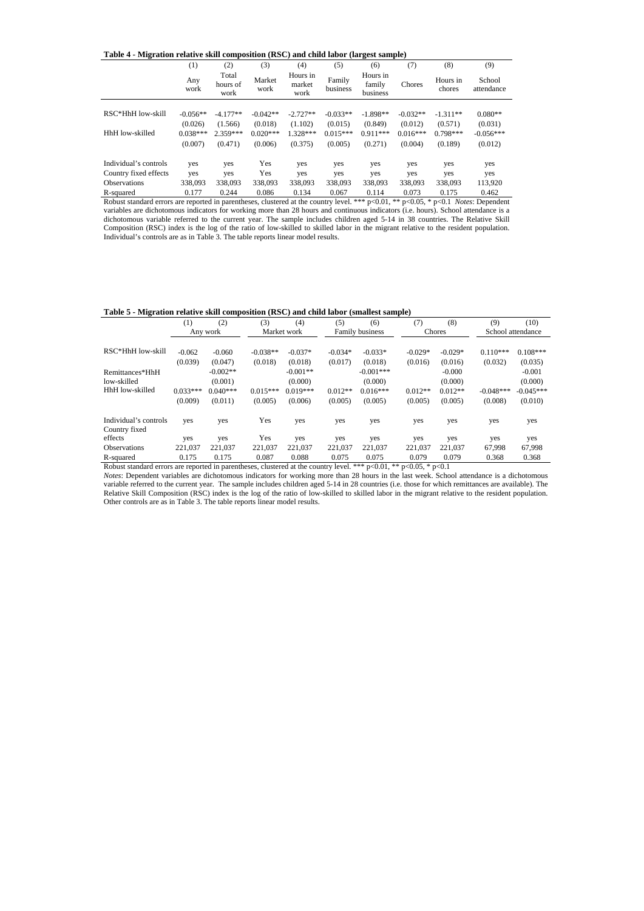|  |  |  | Table 4 - Migration relative skill composition (RSC) and child labor (largest sample) |  |
|--|--|--|---------------------------------------------------------------------------------------|--|
|  |  |  |                                                                                       |  |

|                       | $\left(1\right)$ | (2)                       | (3)            | (4)                        | (5)                | (6)                            | (7)        | (8)                | (9)                  |
|-----------------------|------------------|---------------------------|----------------|----------------------------|--------------------|--------------------------------|------------|--------------------|----------------------|
|                       | Any<br>work      | Total<br>hours of<br>work | Market<br>work | Hours in<br>market<br>work | Family<br>business | Hours in<br>family<br>business | Chores     | Hours in<br>chores | School<br>attendance |
|                       |                  |                           |                |                            |                    |                                |            |                    |                      |
| RSC*HhH low-skill     | $-0.056**$       | $-4.177**$                | $-0.042**$     | $-2.727**$                 | $-0.033**$         | $-1.898**$                     | $-0.032**$ | $-1.311**$         | $0.080**$            |
|                       | (0.026)          | (1.566)                   | (0.018)        | (1.102)                    | (0.015)            | (0.849)                        | (0.012)    | (0.571)            | (0.031)              |
| HhH low-skilled       | $0.038***$       | $2.359***$                | $0.020***$     | 1.328***                   | $0.015***$         | $0.911***$                     | $0.016***$ | $0.798***$         | $-0.056***$          |
|                       | (0.007)          | (0.471)                   | (0.006)        | (0.375)                    | (0.005)            | (0.271)                        | (0.004)    | (0.189)            | (0.012)              |
| Individual's controls | yes              | yes                       | Yes            | yes                        | yes                | yes                            | yes        | yes                | yes                  |
| Country fixed effects | yes              | yes                       | Yes            | yes                        | yes                | yes                            | yes        | yes                | yes                  |
| <b>Observations</b>   | 338,093          | 338,093                   | 338,093        | 338,093                    | 338,093            | 338,093                        | 338,093    | 338,093            | 113,920              |
| R-squared             | 0.177            | 0.244                     | 0.086          | 0.134                      | 0.067              | 0.114                          | 0.073      | 0.175              | 0.462                |

Robust standard errors are reported in parentheses, clustered at the country level. \*\*\* p<0.01, \*\* p<0.05, \* p<0.1 *Notes*: Dependent variables are dichotomous indicators for working more than 28 hours and continuous indicators (i.e. hours). School attendance is a dichotomous variable referred to the current year. The sample includes children aged 5-14 in 38 countries. The Relative Skill Composition (RSC) index is the log of the ratio of low-skilled to skilled labor in the migrant relative to the resident population. Individual's controls are as in Table 3. The table reports linear model results.

|                                        | (1)        | (2)        | (3)        | (4)         | (5)       | (6)             | (7)       | (8)       | (9)         | (10)              |  |
|----------------------------------------|------------|------------|------------|-------------|-----------|-----------------|-----------|-----------|-------------|-------------------|--|
|                                        |            | Any work   |            | Market work |           | Family business |           | Chores    |             | School attendance |  |
|                                        |            |            |            |             |           |                 |           |           |             |                   |  |
| RSC*HhH low-skill                      | $-0.062$   | $-0.060$   | $-0.038**$ | $-0.037*$   | $-0.034*$ | $-0.033*$       | $-0.029*$ | $-0.029*$ | $0.110***$  | $0.108***$        |  |
|                                        | (0.039)    | (0.047)    | (0.018)    | (0.018)     | (0.017)   | (0.018)         | (0.016)   | (0.016)   | (0.032)     | (0.035)           |  |
| Remittances*HhH                        |            | $-0.002**$ |            | $-0.001**$  |           | $-0.001$ ***    |           | $-0.000$  |             | $-0.001$          |  |
| low-skilled                            |            | (0.001)    |            | (0.000)     |           | (0.000)         |           | (0.000)   |             | (0.000)           |  |
| HhH low-skilled                        | $0.033***$ | $0.040***$ | $0.015***$ | $0.019***$  | $0.012**$ | $0.016***$      | $0.012**$ | $0.012**$ | $-0.048***$ | $-0.045***$       |  |
|                                        | (0.009)    | (0.011)    | (0.005)    | (0.006)     | (0.005)   | (0.005)         | (0.005)   | (0.005)   | (0.008)     | (0.010)           |  |
| Individual's controls<br>Country fixed | yes        | yes        | Yes        | yes         | yes       | yes             | yes       | yes       | yes         | yes               |  |
| effects                                | yes        | yes        | Yes        | yes         | yes       | yes             | yes       | yes       | yes         | yes               |  |
| <b>Observations</b>                    | 221,037    | 221,037    | 221,037    | 221,037     | 221,037   | 221,037         | 221,037   | 221,037   | 67,998      | 67,998            |  |
| R-squared                              | 0.175      | 0.175      | 0.087      | 0.088       | 0.075     | 0.075           | 0.079     | 0.079     | 0.368       | 0.368             |  |

**Table 5 - Migration relative skill composition (RSC) and child labor (smallest sample)** 

Robust standard errors are reported in parentheses, clustered at the country level. \*\*\* p<0.01, \*\* p<0.05, \* p<0.1

*Notes*: Dependent variables are dichotomous indicators for working more than 28 hours in the last week. School attendance is a dichotomous variable referred to the current year. The sample includes children aged 5-14 in 28 countries (i.e. those for which remittances are available). The Relative Skill Composition (RSC) index is the log of the ratio of low-skilled to skilled labor in the migrant relative to the resident population. Other controls are as in Table 3. The table reports linear model results.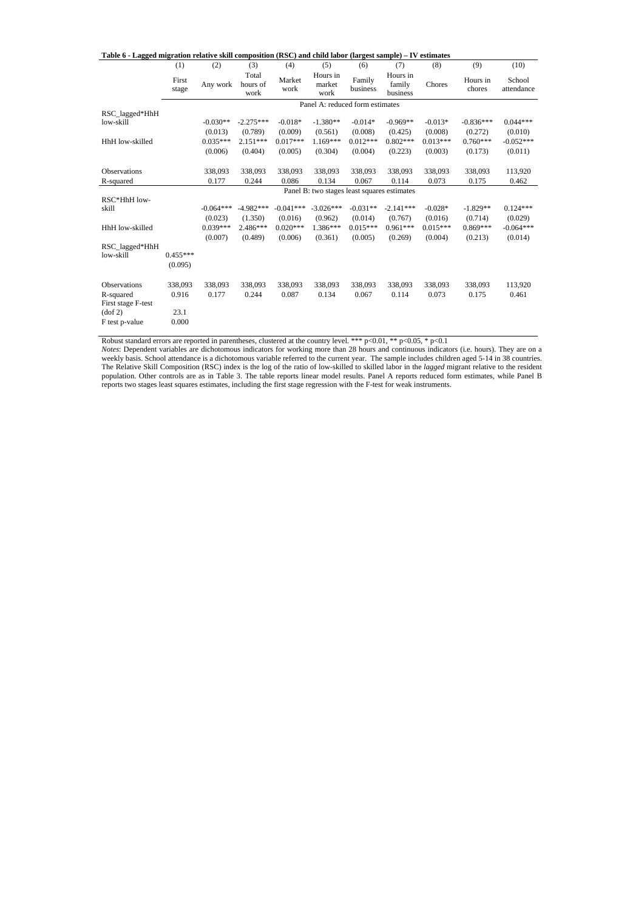|                       | (1)            | $\alpha$ migration relative shin composition $(\mathbf{A} \cup \mathbf{C})$ and emid havor $(\mathbf{A} \cup \mathbf{C})$ sample)<br>(2) | (3)                       | (4)            | (5)                                         | (6)                | (7)                            | (8)        | (9)                | (10)                 |
|-----------------------|----------------|------------------------------------------------------------------------------------------------------------------------------------------|---------------------------|----------------|---------------------------------------------|--------------------|--------------------------------|------------|--------------------|----------------------|
|                       | First<br>stage | Any work                                                                                                                                 | Total<br>hours of<br>work | Market<br>work | Hours in<br>market<br>work                  | Family<br>business | Hours in<br>family<br>business | Chores     | Hours in<br>chores | School<br>attendance |
|                       |                |                                                                                                                                          |                           |                | Panel A: reduced form estimates             |                    |                                |            |                    |                      |
| RSC_lagged*HhH        |                |                                                                                                                                          |                           |                |                                             |                    |                                |            |                    |                      |
| low-skill             |                | $-0.030**$                                                                                                                               | $-2.275***$               | $-0.018*$      | $-1.380**$                                  | $-0.014*$          | $-0.969**$                     | $-0.013*$  | $-0.836***$        | $0.044***$           |
|                       |                | (0.013)                                                                                                                                  | (0.789)                   | (0.009)        | (0.561)                                     | (0.008)            | (0.425)                        | (0.008)    | (0.272)            | (0.010)              |
| HhH low-skilled       |                | $0.035***$                                                                                                                               | $2.151***$                | $0.017***$     | $1.169***$                                  | $0.012***$         | $0.802***$                     | $0.013***$ | $0.760***$         | $-0.052***$          |
|                       |                | (0.006)                                                                                                                                  | (0.404)                   | (0.005)        | (0.304)                                     | (0.004)            | (0.223)                        | (0.003)    | (0.173)            | (0.011)              |
|                       |                |                                                                                                                                          |                           |                |                                             |                    |                                |            |                    |                      |
| <b>Observations</b>   |                | 338,093                                                                                                                                  | 338,093                   | 338,093        | 338,093                                     | 338,093            | 338,093                        | 338,093    | 338,093            | 113,920              |
| R-squared             |                | 0.177                                                                                                                                    | 0.244                     | 0.086          | 0.134                                       | 0.067              | 0.114                          | 0.073      | 0.175              | 0.462                |
|                       |                |                                                                                                                                          |                           |                | Panel B: two stages least squares estimates |                    |                                |            |                    |                      |
| RSC*HhH low-<br>skill |                | $-0.064***$                                                                                                                              | $-4.982***$               | $-0.041***$    | $-3.026***$                                 | $-0.031**$         | $-2.141***$                    | $-0.028*$  | $-1.829**$         | $0.124***$           |
|                       |                | (0.023)                                                                                                                                  | (1.350)                   | (0.016)        | (0.962)                                     | (0.014)            | (0.767)                        | (0.016)    | (0.714)            | (0.029)              |
| HhH low-skilled       |                | $0.039***$                                                                                                                               | 2.486***                  | $0.020***$     | 1.386***                                    | $0.015***$         | $0.961***$                     | $0.015***$ | $0.869***$         | $-0.064***$          |
|                       |                | (0.007)                                                                                                                                  | (0.489)                   | (0.006)        | (0.361)                                     | (0.005)            | (0.269)                        | (0.004)    | (0.213)            | (0.014)              |
| RSC_lagged*HhH        |                |                                                                                                                                          |                           |                |                                             |                    |                                |            |                    |                      |
| low-skill             | $0.455***$     |                                                                                                                                          |                           |                |                                             |                    |                                |            |                    |                      |
|                       | (0.095)        |                                                                                                                                          |                           |                |                                             |                    |                                |            |                    |                      |
|                       |                |                                                                                                                                          |                           |                |                                             |                    |                                |            |                    |                      |
| Observations          | 338,093        | 338,093                                                                                                                                  | 338,093                   | 338,093        | 338,093                                     | 338,093            | 338,093                        | 338,093    | 338,093            | 113,920              |
| R-squared             | 0.916          | 0.177                                                                                                                                    | 0.244                     | 0.087          | 0.134                                       | 0.067              | 0.114                          | 0.073      | 0.175              | 0.461                |
| First stage F-test    |                |                                                                                                                                          |                           |                |                                             |                    |                                |            |                    |                      |
| (dof 2)               | 23.1           |                                                                                                                                          |                           |                |                                             |                    |                                |            |                    |                      |
| F test p-value        | 0.000          |                                                                                                                                          |                           |                |                                             |                    |                                |            |                    |                      |
|                       |                |                                                                                                                                          |                           |                |                                             |                    |                                |            |                    |                      |

**Table 6 - Lagged migration relative skill composition (RSC) and child labor (largest sample) – IV estimates** 

Robust standard errors are reported in parentheses, clustered at the country level. \*\*\* p<0.01, \*\* p<0.05, \* p<0.1

*Notes*: Dependent variables are dichotomous indicators for working more than 28 hours and continuous indicators (i.e. hours). They are on a weekly basis. School attendance is a dichotomous variable referred to the current year. The sample includes children aged 5-14 in 38 countries. The Relative Skill Composition (RSC) index is the log of the ratio of low-skilled to skilled labor in the *lagged* migrant relative to the resident population. Other controls are as in Table 3. The table reports linear model results. Panel A reports reduced form estimates, while Panel B reports two stages least squares estimates, including the first stage regression with the F-test for weak instruments.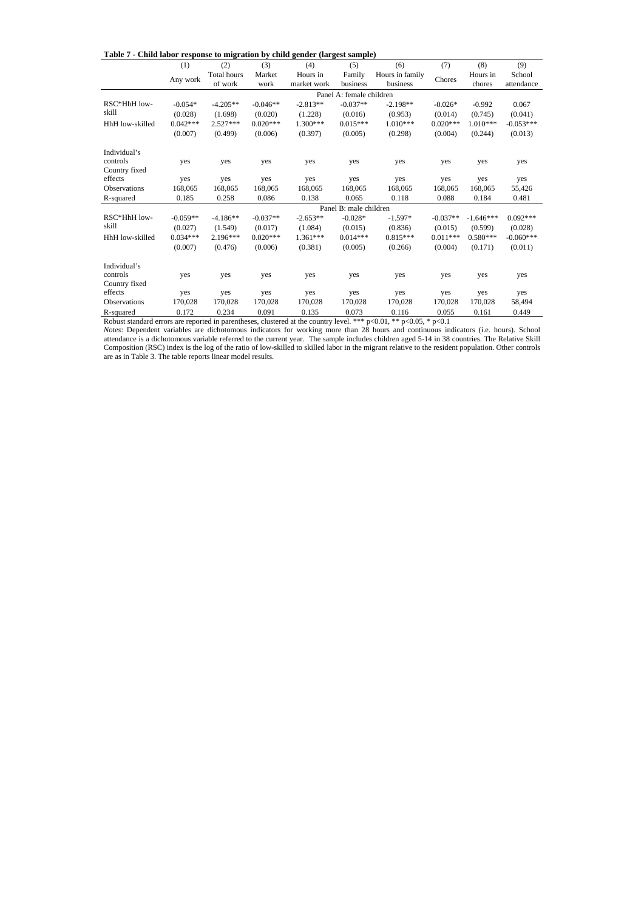|                     | UMM MOVI TW |             |            | $_{\rm power}$ to migration by enna genuer $_{\rm time}$ gest sample) |                          |                 |            |             |             |
|---------------------|-------------|-------------|------------|-----------------------------------------------------------------------|--------------------------|-----------------|------------|-------------|-------------|
|                     | (1)         | (2)         | (3)        | (4)                                                                   | (5)                      | (6)             | (7)        | (8)         | (9)         |
|                     |             | Total hours | Market     | Hours in                                                              | Family                   | Hours in family | Chores     | Hours in    | School      |
|                     | Any work    | of work     | work       | market work                                                           | business                 | business        |            | chores      | attendance  |
|                     |             |             |            |                                                                       | Panel A: female children |                 |            |             |             |
| RSC*HhH low-        | $-0.054*$   | $-4.205**$  | $-0.046**$ | $-2.813**$                                                            | $-0.037**$               | $-2.198**$      | $-0.026*$  | $-0.992$    | 0.067       |
| skill               | (0.028)     | (1.698)     | (0.020)    | (1.228)                                                               | (0.016)                  | (0.953)         | (0.014)    | (0.745)     | (0.041)     |
| HhH low-skilled     | $0.042***$  | $2.527***$  | $0.020***$ | 1.300***                                                              | $0.015***$               | $1.010***$      | $0.020***$ | 1.010***    | $-0.053***$ |
|                     | (0.007)     | (0.499)     | (0.006)    | (0.397)                                                               | (0.005)                  | (0.298)         | (0.004)    | (0.244)     | (0.013)     |
| Individual's        |             |             |            |                                                                       |                          |                 |            |             |             |
| controls            | yes         | yes         | yes        | yes                                                                   | yes                      | yes             | yes        | yes         | yes         |
| Country fixed       |             |             |            |                                                                       |                          |                 |            |             |             |
| effects             | yes         | yes         | yes        | yes                                                                   | yes                      | yes             | yes        | yes         | yes         |
| <b>Observations</b> | 168,065     | 168,065     | 168,065    | 168,065                                                               | 168,065                  | 168,065         | 168,065    | 168,065     | 55,426      |
| R-squared           | 0.185       | 0.258       | 0.086      | 0.138                                                                 | 0.065                    | 0.118           | 0.088      | 0.184       | 0.481       |
|                     |             |             |            |                                                                       | Panel B: male children   |                 |            |             |             |
| RSC*HhH low-        | $-0.059**$  | $-4.186**$  | $-0.037**$ | $-2.653**$                                                            | $-0.028*$                | $-1.597*$       | $-0.037**$ | $-1.646***$ | $0.092***$  |
| skill               | (0.027)     | (1.549)     | (0.017)    | (1.084)                                                               | (0.015)                  | (0.836)         | (0.015)    | (0.599)     | (0.028)     |
| HhH low-skilled     | $0.034***$  | $2.196***$  | $0.020***$ | $1.361***$                                                            | $0.014***$               | $0.815***$      | $0.011***$ | $0.580***$  | $-0.060***$ |
|                     | (0.007)     | (0.476)     | (0.006)    | (0.381)                                                               | (0.005)                  | (0.266)         | (0.004)    | (0.171)     | (0.011)     |
| Individual's        |             |             |            |                                                                       |                          |                 |            |             |             |
| controls            | yes         | yes         | yes        | yes                                                                   | yes                      | yes             | yes        | yes         | yes         |
| Country fixed       |             |             |            |                                                                       |                          |                 |            |             |             |
| effects             | yes         | yes         | yes        | yes                                                                   | yes                      | yes             | yes        | yes         | yes         |
| <b>Observations</b> | 170,028     | 170,028     | 170,028    | 170,028                                                               | 170,028                  | 170,028         | 170,028    | 170,028     | 58,494      |
| R-squared           | 0.172       | 0.234       | 0.091      | 0.135                                                                 | 0.073                    | 0.116           | 0.055      | 0.161       | 0.449       |

**Table 7 - Child labor response to migration by child gender (largest sample)** 

Robust standard errors are reported in parentheses, clustered at the country level. \*\*\*  $p<0.01$ , \*\*  $p<0.05$ , \*  $p<0.1$ 

*Notes*: Dependent variables are dichotomous indicators for working more than 28 hours and continuous indicators (i.e. hours). School attendance is a dichotomous variable referred to the current year. The sample includes children aged 5-14 in 38 countries. The Relative Skill Composition (RSC) index is the log of the ratio of low-skilled to skilled labor in the migrant relative to the resident population. Other controls are as in Table 3. The table reports linear model results.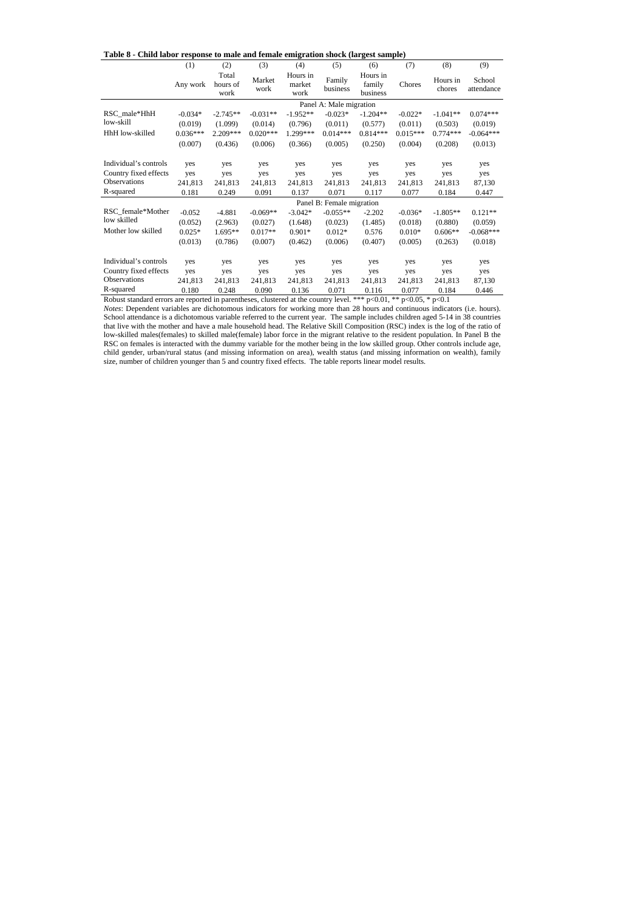|                       | (1)        | (2)                       | (3)            | (4)                        | (5)                       | (6)                            | (7)        | (8)                | (9)                  |
|-----------------------|------------|---------------------------|----------------|----------------------------|---------------------------|--------------------------------|------------|--------------------|----------------------|
|                       | Any work   | Total<br>hours of<br>work | Market<br>work | Hours in<br>market<br>work | Family<br>business        | Hours in<br>family<br>business | Chores     | Hours in<br>chores | School<br>attendance |
|                       |            |                           |                |                            | Panel A: Male migration   |                                |            |                    |                      |
| RSC_male*HhH          | $-0.034*$  | $-2.745**$                | $-0.031**$     | $-1.952**$                 | $-0.023*$                 | $-1.204**$                     | $-0.022*$  | $-1.041**$         | $0.074***$           |
| low-skill             | (0.019)    | (1.099)                   | (0.014)        | (0.796)                    | (0.011)                   | (0.577)                        | (0.011)    | (0.503)            | (0.019)              |
| HhH low-skilled       | $0.036***$ | 2.209***                  | $0.020***$     | 1.299***                   | $0.014***$                | $0.814***$                     | $0.015***$ | $0.774***$         | $-0.064***$          |
|                       | (0.007)    | (0.436)                   | (0.006)        | (0.366)                    | (0.005)                   | (0.250)                        | (0.004)    | (0.208)            | (0.013)              |
| Individual's controls | yes        | yes                       | yes            | yes                        | yes                       | yes                            | yes        | yes                | yes                  |
| Country fixed effects | yes        | yes                       | yes            | yes                        | yes                       | yes                            | yes        | yes                | yes                  |
| <b>Observations</b>   | 241,813    | 241,813                   | 241,813        | 241,813                    | 241,813                   | 241,813                        | 241,813    | 241,813            | 87,130               |
| R-squared             | 0.181      | 0.249                     | 0.091          | 0.137                      | 0.071                     | 0.117                          | 0.077      | 0.184              | 0.447                |
|                       |            |                           |                |                            | Panel B: Female migration |                                |            |                    |                      |
| RSC_female*Mother     | $-0.052$   | $-4.881$                  | $-0.069**$     | $-3.042*$                  | $-0.055**$                | $-2.202$                       | $-0.036*$  | $-1.805**$         | $0.121**$            |
| low skilled           | (0.052)    | (2.963)                   | (0.027)        | (1.648)                    | (0.023)                   | (1.485)                        | (0.018)    | (0.880)            | (0.059)              |
| Mother low skilled    | $0.025*$   | 1.695**                   | $0.017**$      | $0.901*$                   | $0.012*$                  | 0.576                          | $0.010*$   | $0.606**$          | $-0.068***$          |
|                       | (0.013)    | (0.786)                   | (0.007)        | (0.462)                    | (0.006)                   | (0.407)                        | (0.005)    | (0.263)            | (0.018)              |
| Individual's controls | yes        | yes                       | yes            | yes                        | yes                       | yes                            | yes        | yes                | yes                  |
| Country fixed effects | yes        | yes                       | yes            | yes                        | yes                       | yes                            | yes        | yes                | yes                  |
| <b>Observations</b>   | 241,813    | 241,813                   | 241,813        | 241,813                    | 241,813                   | 241,813                        | 241,813    | 241,813            | 87,130               |
| R-squared             | 0.180      | 0.248                     | 0.090          | 0.136                      | 0.071                     | 0.116                          | 0.077      | 0.184              | 0.446                |

**Table 8 - Child labor response to male and female emigration shock (largest sample)** 

Robust standard errors are reported in parentheses, clustered at the country level. \*\*\*  $p<0.01$ , \*\*  $p<0.05$ , \*  $p<0.1$ 

*Notes*: Dependent variables are dichotomous indicators for working more than 28 hours and continuous indicators (i.e. hours). School attendance is a dichotomous variable referred to the current year. The sample includes children aged 5-14 in 38 countries that live with the mother and have a male household head. The Relative Skill Composition (RSC) index is the log of the ratio of low-skilled males(females) to skilled male(female) labor force in the migrant relative to the resident population. In Panel B the RSC on females is interacted with the dummy variable for the mother being in the low skilled group. Other controls include age, child gender, urban/rural status (and missing information on area), wealth status (and missing information on wealth), family size, number of children younger than 5 and country fixed effects. The table reports linear model results.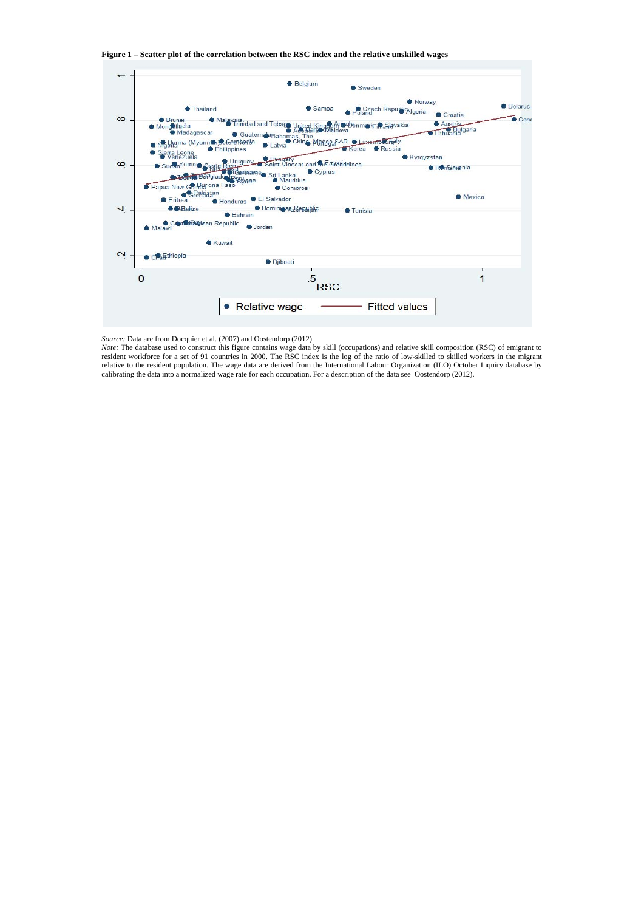

**Figure 1 – Scatter plot of the correlation between the RSC index and the relative unskilled wages**

*Source:* Data are from Docquier et al. (2007) and Oostendorp (2012)

*Note:* The database used to construct this figure contains wage data by skill (occupations) and relative skill composition (RSC) of emigrant to resident workforce for a set of 91 countries in 2000. The RSC index is the log of the ratio of low-skilled to skilled workers in the migrant relative to the resident population. The wage data are derived from the International Labour Organization (ILO) October Inquiry database by calibrating the data into a normalized wage rate for each occupation. For a description of the data see Oostendorp (2012).